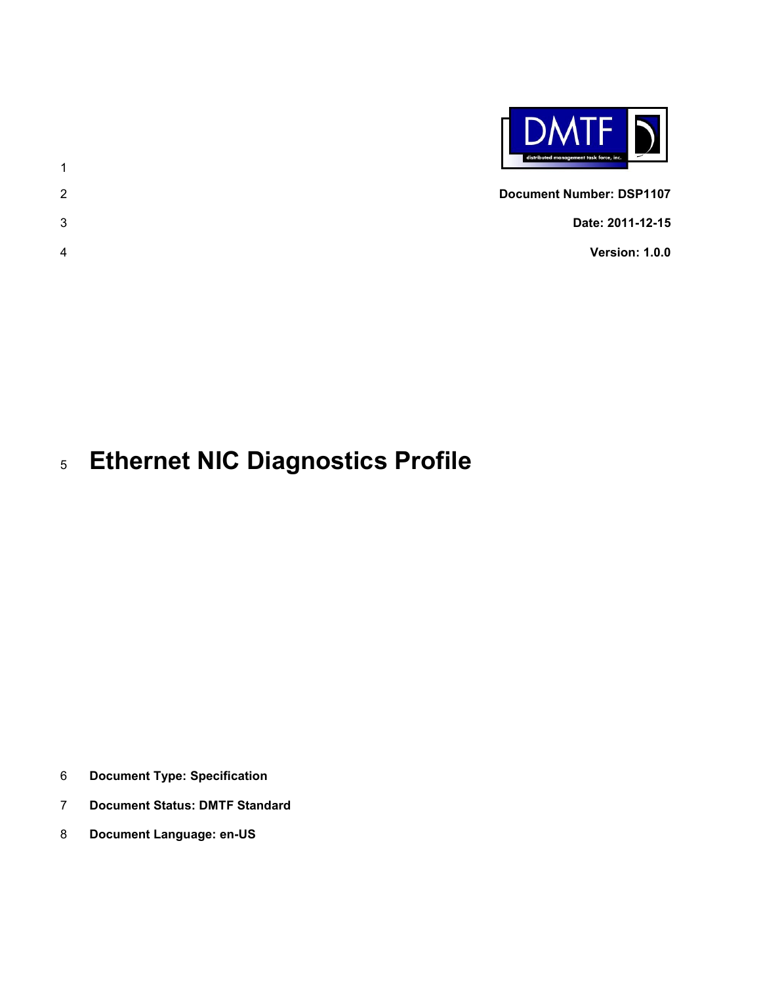

- **Document Number: DSP1107 Date: 2011-12-15**
- **Version: 1.0.0**

# **Ethernet NIC Diagnostics Profile**

- **Document Type: Specification**
- **Document Status: DMTF Standard**
- **Document Language: en-US**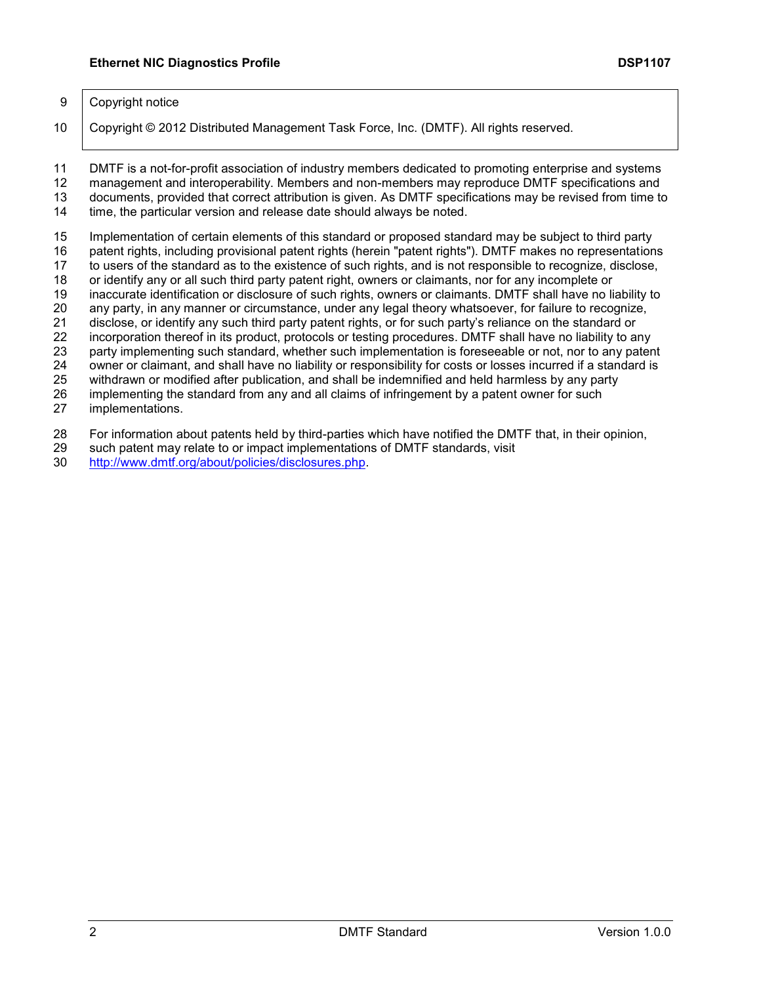#### 9 Copyright notice

10 | Copyright © 2012 Distributed Management Task Force, Inc. (DMTF). All rights reserved.

 DMTF is a not-for-profit association of industry members dedicated to promoting enterprise and systems management and interoperability. Members and non-members may reproduce DMTF specifications and documents, provided that correct attribution is given. As DMTF specifications may be revised from time to

time, the particular version and release date should always be noted.

Implementation of certain elements of this standard or proposed standard may be subject to third party

patent rights, including provisional patent rights (herein "patent rights"). DMTF makes no representations

to users of the standard as to the existence of such rights, and is not responsible to recognize, disclose,

18 or identify any or all such third party patent right, owners or claimants, nor for any incomplete or<br>19 inaccurate identification or disclosure of such rights, owners or claimants. DMTF shall have no li inaccurate identification or disclosure of such rights, owners or claimants. DMTF shall have no liability to

20 any party, in any manner or circumstance, under any legal theory whatsoever, for failure to recognize, 21 disclose, or identify any such third party patent rights, or for such party's reliance on the standard or

21 disclose, or identify any such third party patent rights, or for such party's reliance on the standard or<br>22 incorporation thereof in its product, protocols or testing procedures. DMTF shall have no liability to an incorporation thereof in its product, protocols or testing procedures. DMTF shall have no liability to any

party implementing such standard, whether such implementation is foreseeable or not, nor to any patent

owner or claimant, and shall have no liability or responsibility for costs or losses incurred if a standard is

withdrawn or modified after publication, and shall be indemnified and held harmless by any party

implementing the standard from any and all claims of infringement by a patent owner for such

implementations.

For information about patents held by third-parties which have notified the DMTF that, in their opinion,

such patent may relate to or impact implementations of DMTF standards, visit

[http://www.dmtf.org/about/policies/disclosures.php.](http://www.dmtf.org/about/policies/disclosures.php)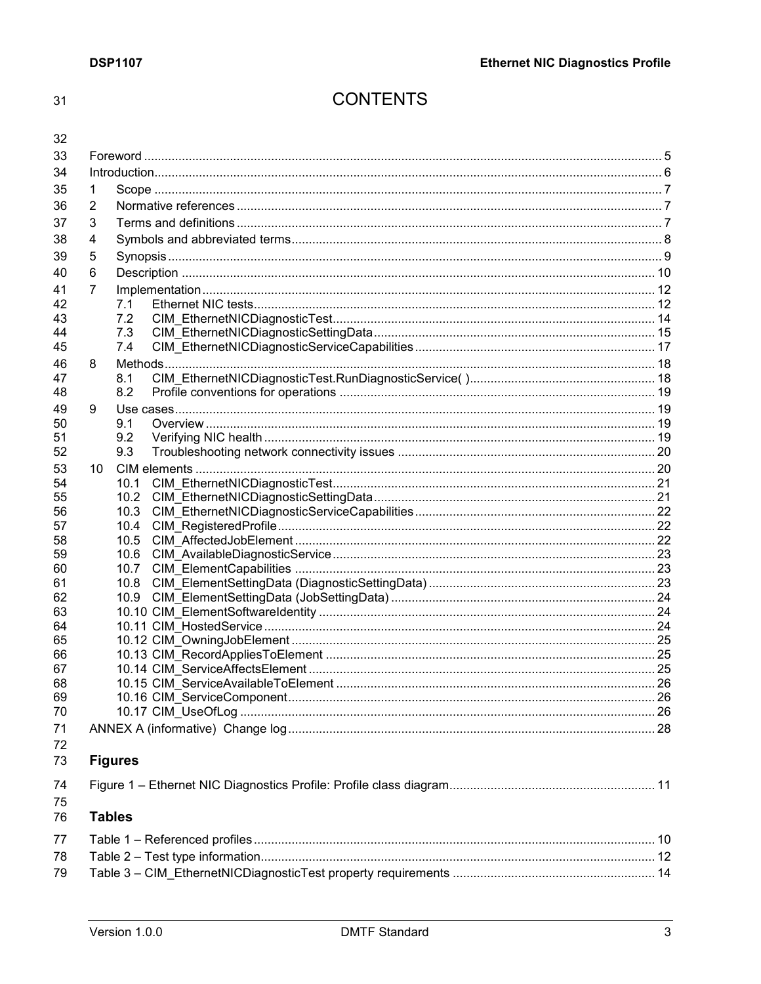$31$ 

# **CONTENTS**

| × | ٠      |
|---|--------|
|   | i<br>I |

| 32       |                 |                |  |  |  |  |
|----------|-----------------|----------------|--|--|--|--|
| 33       |                 |                |  |  |  |  |
| 34       |                 |                |  |  |  |  |
| 35       | 1               |                |  |  |  |  |
| 36       | 2               |                |  |  |  |  |
| 37       | 3               |                |  |  |  |  |
| 38       |                 |                |  |  |  |  |
|          | 4               |                |  |  |  |  |
| 39       | 5               |                |  |  |  |  |
| 40       | 6               |                |  |  |  |  |
| 41       | $\overline{7}$  |                |  |  |  |  |
| 42       |                 | 7.1            |  |  |  |  |
| 43       |                 | 7.2            |  |  |  |  |
| 44       |                 | 7.3            |  |  |  |  |
| 45       |                 | 7.4            |  |  |  |  |
| 46       | 8               |                |  |  |  |  |
| 47       |                 | 8.1            |  |  |  |  |
| 48       |                 | 8.2            |  |  |  |  |
| 49       | 9               |                |  |  |  |  |
| 50       |                 | 9.1            |  |  |  |  |
| 51       |                 | 9.2            |  |  |  |  |
| 52       |                 | 9.3            |  |  |  |  |
| 53       | 10 <sup>°</sup> |                |  |  |  |  |
| 54       |                 | 10.1           |  |  |  |  |
| 55       |                 | 10.2           |  |  |  |  |
| 56       |                 | 10.3           |  |  |  |  |
| 57       |                 | 10.4           |  |  |  |  |
| 58       |                 | 10.5           |  |  |  |  |
| 59       |                 | 10.6           |  |  |  |  |
| 60       |                 | 10.7           |  |  |  |  |
| 61<br>62 |                 | 10.8<br>10.9   |  |  |  |  |
| 63       |                 |                |  |  |  |  |
| 64       |                 |                |  |  |  |  |
| 65       |                 |                |  |  |  |  |
| 66       |                 |                |  |  |  |  |
| 67       |                 |                |  |  |  |  |
| 68       |                 |                |  |  |  |  |
| 69       |                 |                |  |  |  |  |
| 70       |                 |                |  |  |  |  |
| 71       |                 |                |  |  |  |  |
| 72       |                 |                |  |  |  |  |
| 73       |                 | <b>Figures</b> |  |  |  |  |
| 74       |                 |                |  |  |  |  |
| 75<br>76 |                 | <b>Tables</b>  |  |  |  |  |
|          |                 |                |  |  |  |  |
| 77       |                 |                |  |  |  |  |
| 78       |                 |                |  |  |  |  |
| 79       |                 |                |  |  |  |  |
|          |                 |                |  |  |  |  |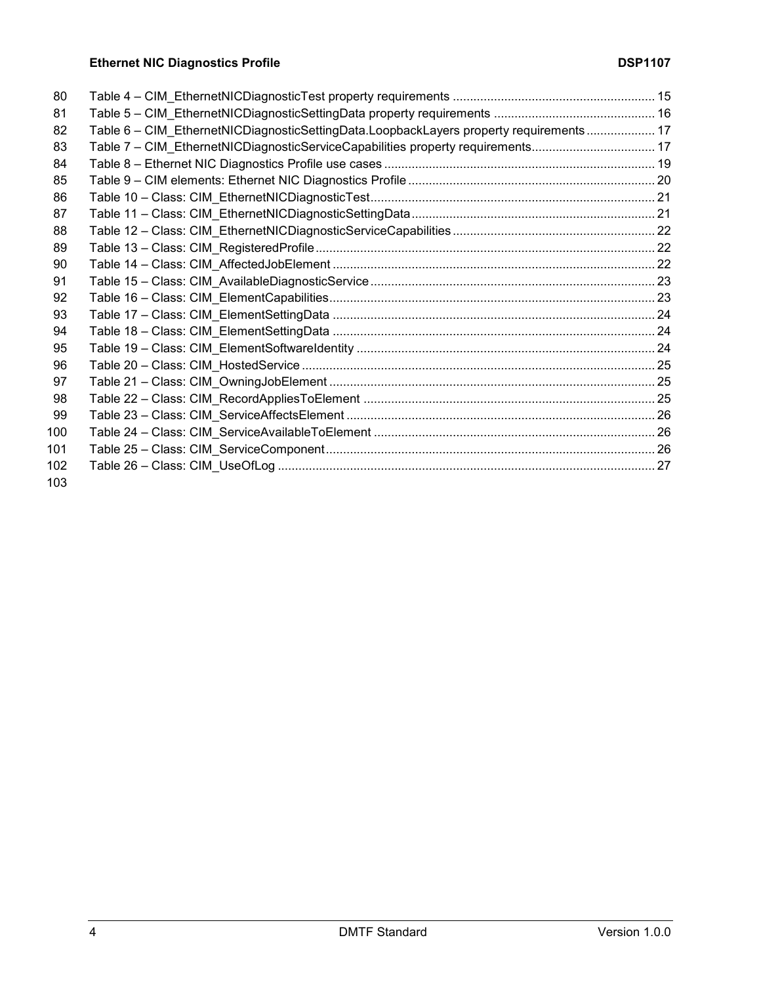# **Ethernet NIC Diagnostics Profile DSP1107**

| 80         |                                                                                        |  |
|------------|----------------------------------------------------------------------------------------|--|
| 81         |                                                                                        |  |
| 82         | Table 6 - CIM_EthernetNICDiagnosticSettingData.LoopbackLayers property requirements 17 |  |
| 83         | Table 7 - CIM EthernetNICDiagnosticServiceCapabilities property requirements 17        |  |
| 84         |                                                                                        |  |
| 85         |                                                                                        |  |
| 86         |                                                                                        |  |
| 87         |                                                                                        |  |
| 88         |                                                                                        |  |
| 89         |                                                                                        |  |
| 90         |                                                                                        |  |
| 91         |                                                                                        |  |
| 92         |                                                                                        |  |
| 93         |                                                                                        |  |
| 94         |                                                                                        |  |
| 95         |                                                                                        |  |
| 96         |                                                                                        |  |
| 97         |                                                                                        |  |
| 98         |                                                                                        |  |
| 99         |                                                                                        |  |
| 100        |                                                                                        |  |
| 101        |                                                                                        |  |
| 102        |                                                                                        |  |
| $\sqrt{2}$ |                                                                                        |  |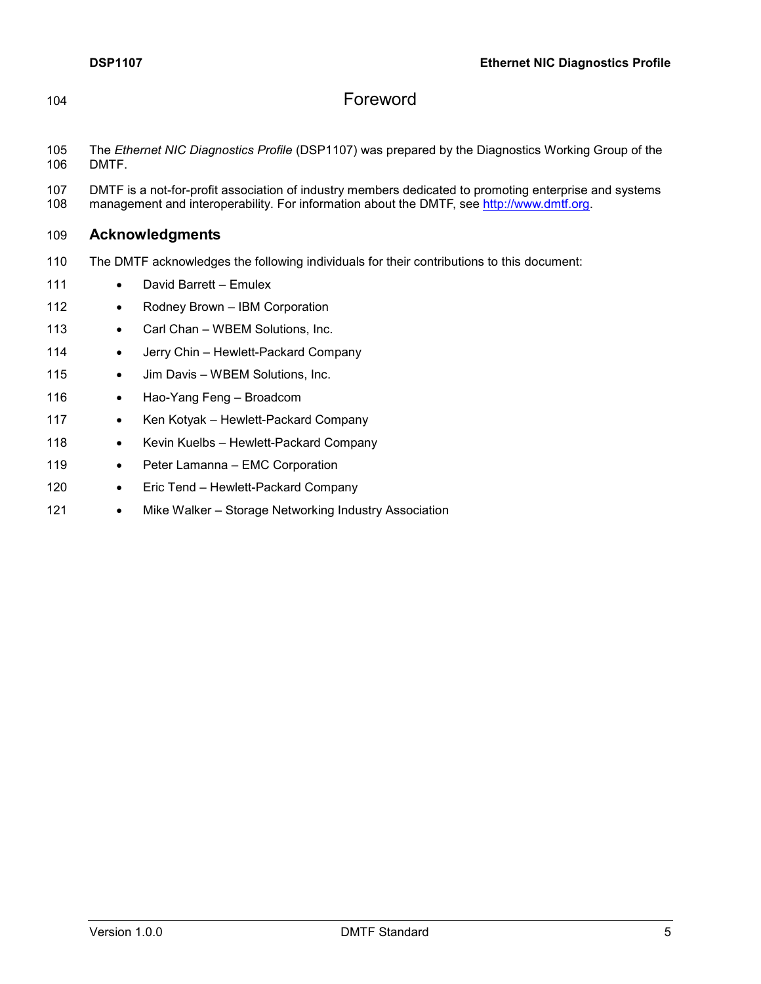<span id="page-4-0"></span>

# 104 Foreword

- 105 The *Ethernet NIC Diagnostics Profile* (DSP1107) was prepared by the Diagnostics Working Group of the DMTF.
- 107 DMTF is a not-for-profit association of industry members dedicated to promoting enterprise and systems 108 management and interoperability. For information about the DMTF, see http://www.dmtf.org. management and interoperability. For information about the DMTF, see [http://www.dmtf.org.](http://www.dmtf.org/)

#### 109 **Acknowledgments**

- 110 The DMTF acknowledges the following individuals for their contributions to this document:
- 111 David Barrett Emulex
- 112 Rodney Brown IBM Corporation
- 113 Carl Chan WBEM Solutions, Inc.
- 114 Jerry Chin Hewlett-Packard Company
- 115 Jim Davis WBEM Solutions, Inc.
- 116 Hao-Yang Feng Broadcom
- 117 Ken Kotyak Hewlett-Packard Company
- 118 Kevin Kuelbs Hewlett-Packard Company
- 119 Peter Lamanna EMC Corporation
- 120 Eric Tend Hewlett-Packard Company
- 121 Mike Walker Storage Networking Industry Association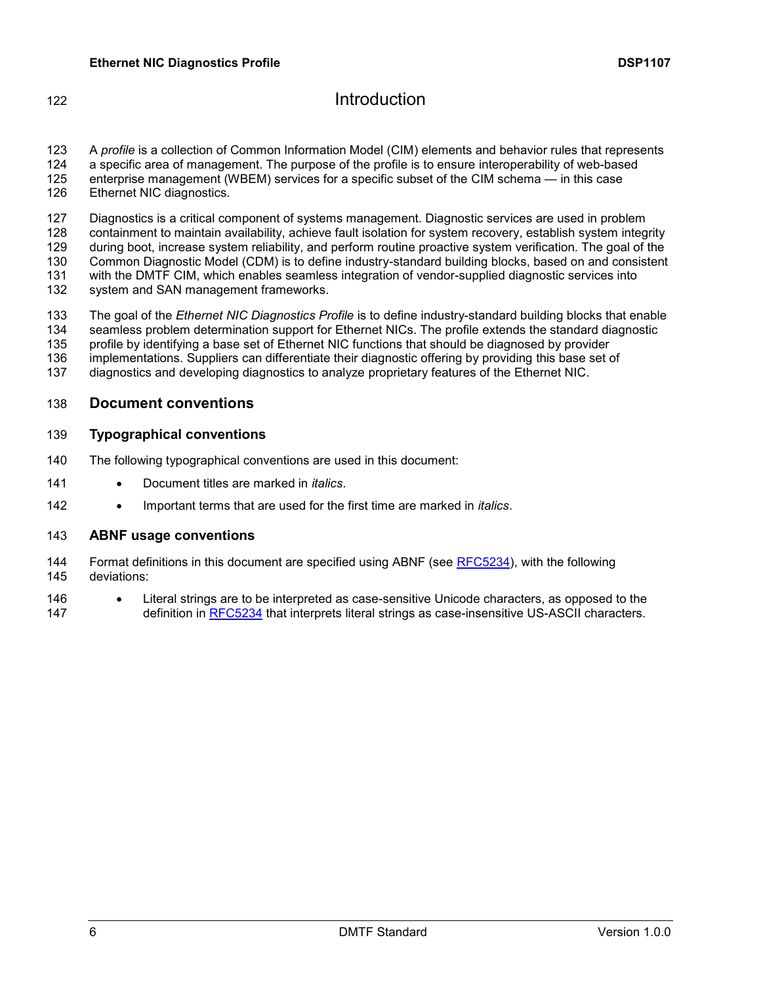# <span id="page-5-0"></span>**Introduction**

 A *profile* is a collection of Common Information Model (CIM) elements and behavior rules that represents a specific area of management. The purpose of the profile is to ensure interoperability of web-based enterprise management (WBEM) services for a specific subset of the CIM schema — in this case Ethernet NIC diagnostics.

 Diagnostics is a critical component of systems management. Diagnostic services are used in problem containment to maintain availability, achieve fault isolation for system recovery, establish system integrity during boot, increase system reliability, and perform routine proactive system verification. The goal of the Common Diagnostic Model (CDM) is to define industry-standard building blocks, based on and consistent with the DMTF CIM, which enables seamless integration of vendor-supplied diagnostic services into system and SAN management frameworks.

 The goal of the *Ethernet NIC Diagnostics Profile* is to define industry-standard building blocks that enable seamless problem determination support for Ethernet NICs. The profile extends the standard diagnostic profile by identifying a base set of Ethernet NIC functions that should be diagnosed by provider implementations. Suppliers can differentiate their diagnostic offering by providing this base set of

diagnostics and developing diagnostics to analyze proprietary features of the Ethernet NIC.

#### **Document conventions**

#### **Typographical conventions**

- The following typographical conventions are used in this document:
- Document titles are marked in *italics*.
- 142 Important terms that are used for the first time are marked in *italics*.

#### **ABNF usage conventions**

 Format definitions in this document are specified using ABNF (see [RFC5234\)](#page-6-3), with the following deviations:

 Literal strings are to be interpreted as case-sensitive Unicode characters, as opposed to the 147 definition in [RFC5234](#page-6-3) that interprets literal strings as case-insensitive US-ASCII characters.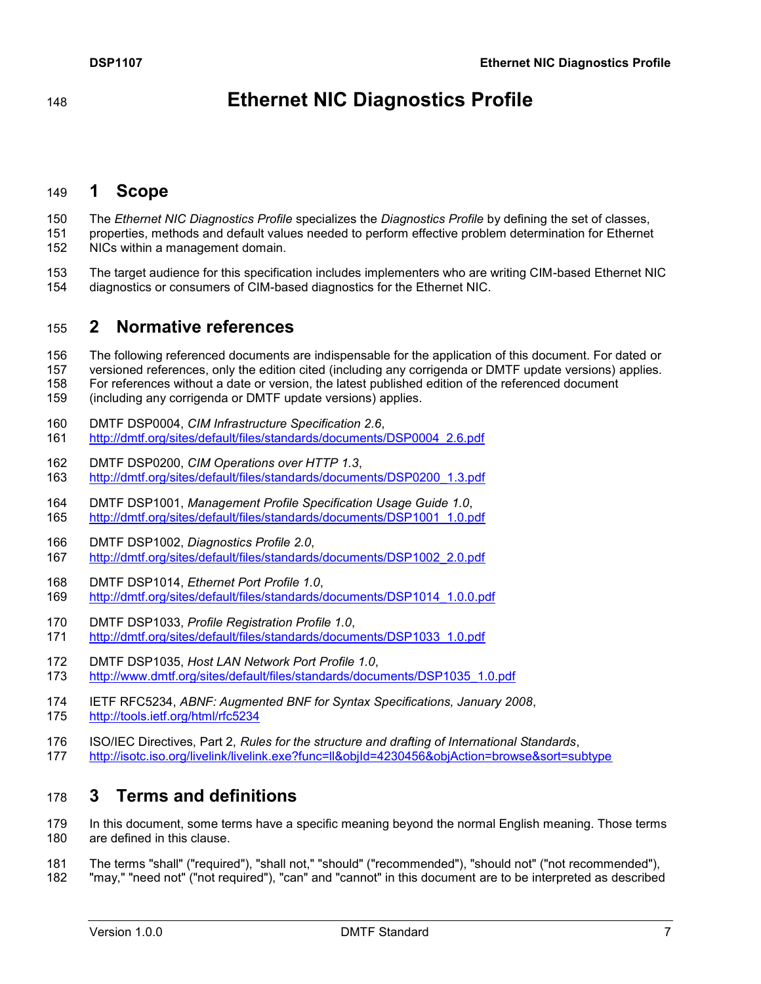# **Ethernet NIC Diagnostics Profile**

# <span id="page-6-0"></span>**1 Scope**

- The *Ethernet NIC Diagnostics Profile* specializes the *Diagnostics Profile* by defining the set of classes,
- properties, methods and default values needed to perform effective problem determination for Ethernet NICs within a management domain.
- 153 The target audience for this specification includes implementers who are writing CIM-based Ethernet NIC<br>154 diagnostics or consumers of CIM-based diagnostics for the Ethernet NIC. diagnostics or consumers of CIM-based diagnostics for the Ethernet NIC.

# <span id="page-6-1"></span>**2 Normative references**

- The following referenced documents are indispensable for the application of this document. For dated or
- versioned references, only the edition cited (including any corrigenda or DMTF update versions) applies.
- For references without a date or version, the latest published edition of the referenced document
- (including any corrigenda or DMTF update versions) applies.
- <span id="page-6-5"></span>DMTF DSP0004, *CIM Infrastructure Specification 2.6*,
- [http://dmtf.org/sites/default/files/standards/documents/DSP0004\\_2.6.pdf](http://dmtf.org/sites/default/files/standards/documents/DSP0004_2.6.pdf)
- <span id="page-6-6"></span> DMTF DSP0200, *CIM Operations over HTTP 1.3*, [http://dmtf.org/sites/default/files/standards/documents/DSP0200\\_1.3.pdf](http://dmtf.org/sites/default/files/standards/documents/DSP0200_1.3.pdf)
- <span id="page-6-7"></span> DMTF DSP1001, *Management Profile Specification Usage Guide 1.0*, [http://dmtf.org/sites/default/files/standards/documents/DSP1001\\_1.0.pdf](http://dmtf.org/sites/default/files/standards/documents/DSP1001_1.0.pdf)
- <span id="page-6-10"></span>DMTF DSP1002, *Diagnostics Profile 2.0*,
- [http://dmtf.org/sites/default/files/standards/documents/DSP1002\\_2.0.pdf](http://dmtf.org/sites/default/files/standards/documents/DSP1002_2.0.pdf)
- <span id="page-6-8"></span>DMTF DSP1014, *Ethernet Port Profile 1.0*,
- [http://dmtf.org/sites/default/files/standards/documents/DSP1014\\_1.0.0.pdf](http://dmtf.org/sites/default/files/standards/documents/DSP1014_1.0.0.pdf)
- <span id="page-6-11"></span>DMTF DSP1033, *Profile Registration Profile 1.0*,
- [http://dmtf.org/sites/default/files/standards/documents/DSP1033\\_1.0.pdf](http://dmtf.org/sites/default/files/standards/documents/DSP1033_1.0.pdf)
- <span id="page-6-9"></span>DMTF DSP1035, *Host LAN Network Port Profile 1.0*,
- [http://www.dmtf.org/sites/default/files/standards/documents/DSP1035\\_1.0.pdf](http://www.dmtf.org/sites/default/files/standards/documents/DSP1035_1.0.pdf)
- <span id="page-6-3"></span> IETF RFC5234, *ABNF: Augmented BNF for Syntax Specifications, January 2008*, <http://tools.ietf.org/html/rfc5234>
- <span id="page-6-4"></span> ISO/IEC Directives, Part 2, *Rules for the structure and drafting of International Standards*, <http://isotc.iso.org/livelink/livelink.exe?func=ll&objId=4230456&objAction=browse&sort=subtype>

# <span id="page-6-2"></span>**3 Terms and definitions**

 In this document, some terms have a specific meaning beyond the normal English meaning. Those terms are defined in this clause.

- The terms "shall" ("required"), "shall not," "should" ("recommended"), "should not" ("not recommended"),
- "may," "need not" ("not required"), "can" and "cannot" in this document are to be interpreted as described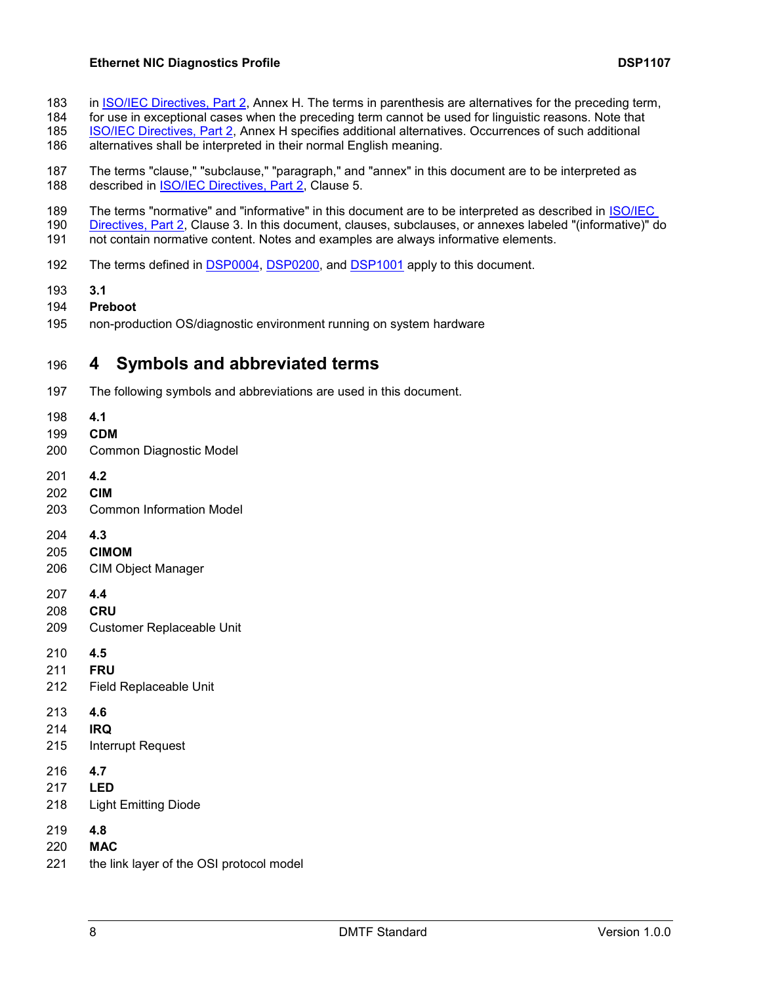#### **Ethernet NIC Diagnostics Profile DSP1107**

- 183 in <u>ISO/IEC Directives, Part 2</u>, Annex H. The terms in parenthesis are alternatives for the preceding term, 184 for use in exceptional cases when the preceding term cannot be used for linguistic reasons. Note that
- for use in exceptional cases when the preceding term cannot be used for linguistic reasons. Note that
- [ISO/IEC Directives, Part 2,](#page-6-4) Annex H specifies additional alternatives. Occurrences of such additional
- alternatives shall be interpreted in their normal English meaning.
- The terms "clause," "subclause," "paragraph," and "annex" in this document are to be interpreted as 188 described in [ISO/IEC Directives, Part 2,](#page-6-4) Clause 5.
- 189 The terms "normative" and "informative" in this document are to be interpreted as described in <u>ISO/IEC</u><br>190 Directives, Part 2, Clause 3, In this document, clauses, subclauses, or annexes labeled "(informative)" c
- [Directives, Part 2,](#page-6-4) Clause 3. In this document, clauses, subclauses, or annexes labeled "(informative)" do not contain normative content. Notes and examples are always informative elements.
- The terms defined in [DSP0004,](#page-6-5) [DSP0200,](#page-6-6) and [DSP1001](#page-6-7) apply to this document.
- **3.1**
- **Preboot**
- <span id="page-7-0"></span>non-production OS/diagnostic environment running on system hardware

# **4 Symbols and abbreviated terms**

- The following symbols and abbreviations are used in this document.
- **4.1**
- **CDM**
- Common Diagnostic Model
- **4.2**
- **CIM**
- Common Information Model
- **4.3**
- **CIMOM**
- CIM Object Manager
- **4.4**
- **CRU**
- Customer Replaceable Unit
- **4.5**
- **FRU**
- Field Replaceable Unit
- **4.6**
- **IRQ**
- Interrupt Request
- **4.7**
- **LED**
- Light Emitting Diode
- **4.8**
- **MAC**
- the link layer of the OSI protocol model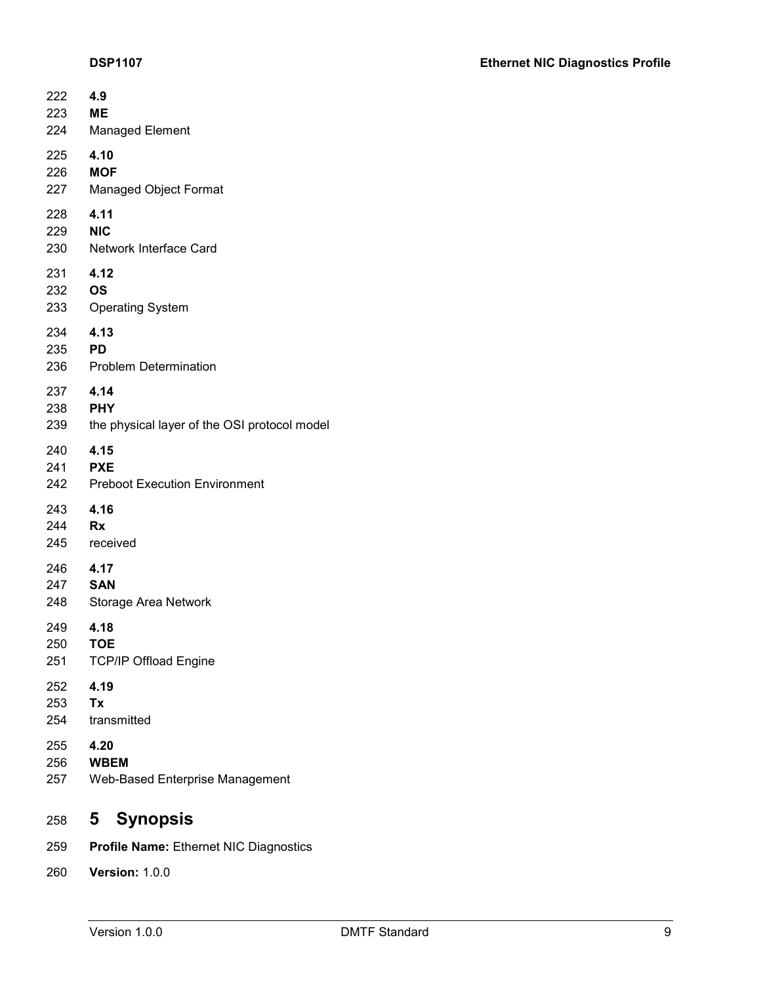| 222                  | 4.9                                          |
|----------------------|----------------------------------------------|
| 223                  | <b>ME</b>                                    |
| 224                  | <b>Managed Element</b>                       |
| 225                  | 4.10                                         |
| 226                  | <b>MOF</b>                                   |
| 227                  | <b>Managed Object Format</b>                 |
| 228                  | 4.11                                         |
| 229                  | <b>NIC</b>                                   |
| 230                  | Network Interface Card                       |
| 231                  | 4.12                                         |
| 232                  | <b>OS</b>                                    |
| 233                  | <b>Operating System</b>                      |
| 234<br>235 PD<br>236 | 4.13<br><b>Problem Determination</b>         |
| 237                  | 4.14                                         |
| 238                  | <b>PHY</b>                                   |
| 239                  | the physical layer of the OSI protocol model |
| 240                  | 4.15                                         |
| 241                  | <b>PXE</b>                                   |
| 242                  | <b>Preboot Execution Environment</b>         |
| 243                  | 4.16                                         |
| 244                  | Rx                                           |
| 245                  | received                                     |
| 246                  | 4.17                                         |
| 247                  | <b>SAN</b>                                   |
| 248                  | <b>Storage Area Network</b>                  |
| 249                  | 4.18                                         |
| 250                  | TOE                                          |
| 251                  | <b>TCP/IP Offload Engine</b>                 |
| 252                  | 4.19                                         |
| 253                  | Тx                                           |
| 254                  | transmitted                                  |
| 255                  | 4.20                                         |
| 256                  | <b>WBEM</b>                                  |
| 257                  | <b>Web-Based Enterprise Management</b>       |
| 258                  | 5 Synopsis                                   |

- <span id="page-8-0"></span>**Profile Name:** Ethernet NIC Diagnostics
- **Version:** 1.0.0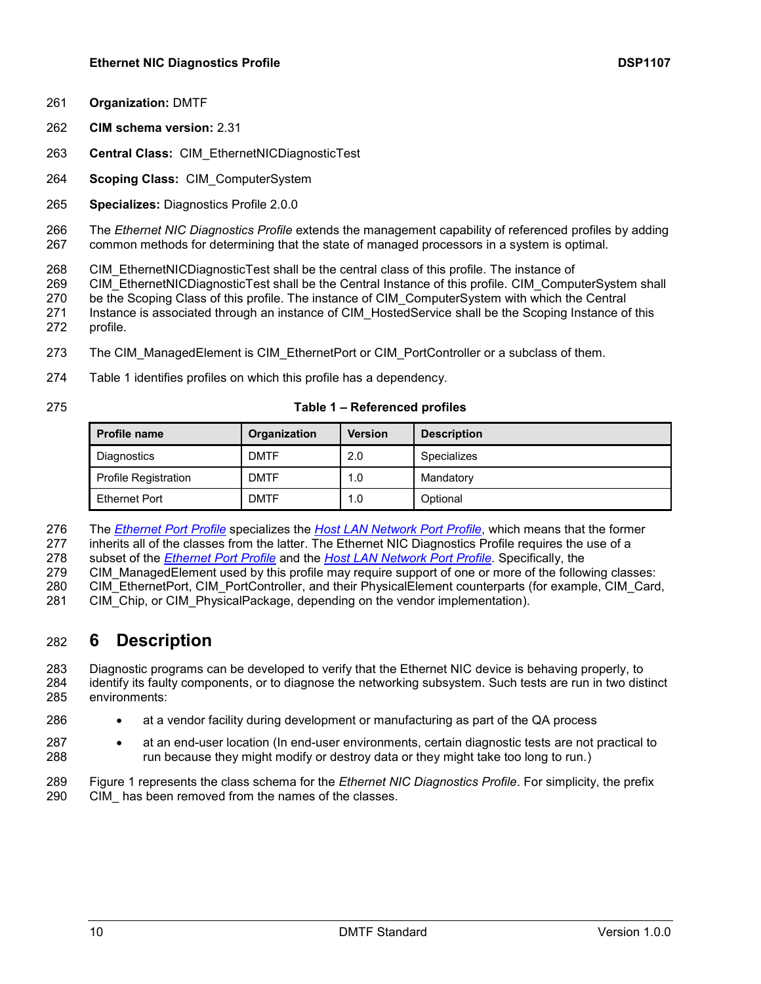- **Organization:** DMTF
- **CIM schema version:** 2.31
- **Central Class:** CIM\_EthernetNICDiagnosticTest
- **Scoping Class:** CIM\_ComputerSystem
- **Specializes:** Diagnostics Profile 2.0.0

 The *Ethernet NIC Diagnostics Profile* extends the management capability of referenced profiles by adding common methods for determining that the state of managed processors in a system is optimal.

- 268 CIM\_EthernetNICDiagnosticTest shall be the central class of this profile. The instance of
- 269 CIM\_EthernetNICDiagnosticTest shall be the Central Instance of this profile. CIM\_ComputerSystem shall
- be the Scoping Class of this profile. The instance of CIM\_ComputerSystem with which the Central
- 271 Instance is associated through an instance of CIM HostedService shall be the Scoping Instance of this profile.
- 273 The CIM ManagedElement is CIM EthernetPort or CIM PortController or a subclass of them.
- [Table 1](#page-9-1) identifies profiles on which this profile has a dependency.
- 

#### **Table 1 – Referenced profiles**

<span id="page-9-1"></span>

| <b>Profile name</b>         | Organization | <b>Version</b> | <b>Description</b> |
|-----------------------------|--------------|----------------|--------------------|
| Diagnostics                 | <b>DMTF</b>  | 2.0            | Specializes        |
| <b>Profile Registration</b> | <b>DMTF</b>  | 1.0            | Mandatory          |
| Ethernet Port               | <b>DMTF</b>  | 1.0            | Optional           |

The *[Ethernet Port Profile](#page-6-8)* specializes the *[Host LAN Network Port Profile](#page-6-9)*, which means that the former

inherits all of the classes from the latter. The Ethernet NIC Diagnostics Profile requires the use of a

subset of the *[Ethernet Port Profile](#page-6-8)* and the *[Host LAN Network Port Profile](#page-6-9)*. Specifically, the

CIM\_ManagedElement used by this profile may require support of one or more of the following classes:

280 CIM\_EthernetPort, CIM\_PortController, and their PhysicalElement counterparts (for example, CIM\_Card,

<span id="page-9-0"></span>281 CIM Chip, or CIM PhysicalPackage, depending on the vendor implementation).

# **6 Description**

 Diagnostic programs can be developed to verify that the Ethernet NIC device is behaving properly, to identify its faulty components, or to diagnose the networking subsystem. Such tests are run in two distinct environments:

- **a a**t a vendor facility during development or manufacturing as part of the QA process
- **ack a**t an end-user location (In end-user environments, certain diagnostic tests are not practical to run because they might modify or destroy data or they might take too long to run.)
- [Figure 1](#page-10-0) represents the class schema for the *Ethernet NIC Diagnostics Profile*. For simplicity, the prefix 290 CIM has been removed from the names of the classes.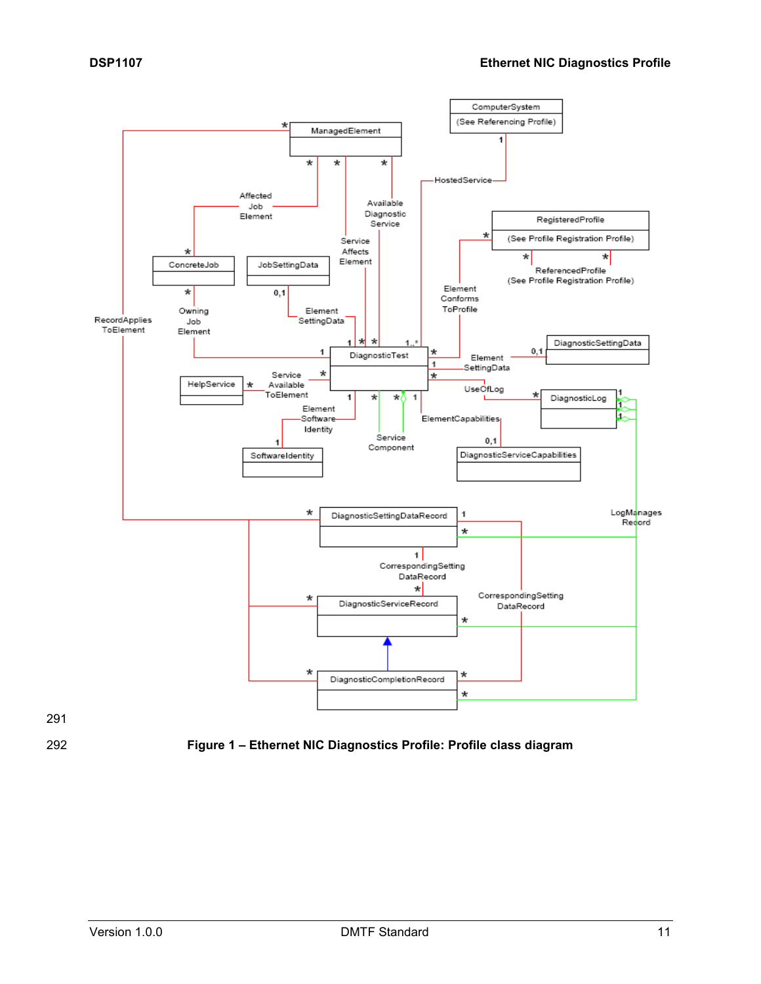



<span id="page-10-0"></span>

292 **Figure 1 – Ethernet NIC Diagnostics Profile: Profile class diagram**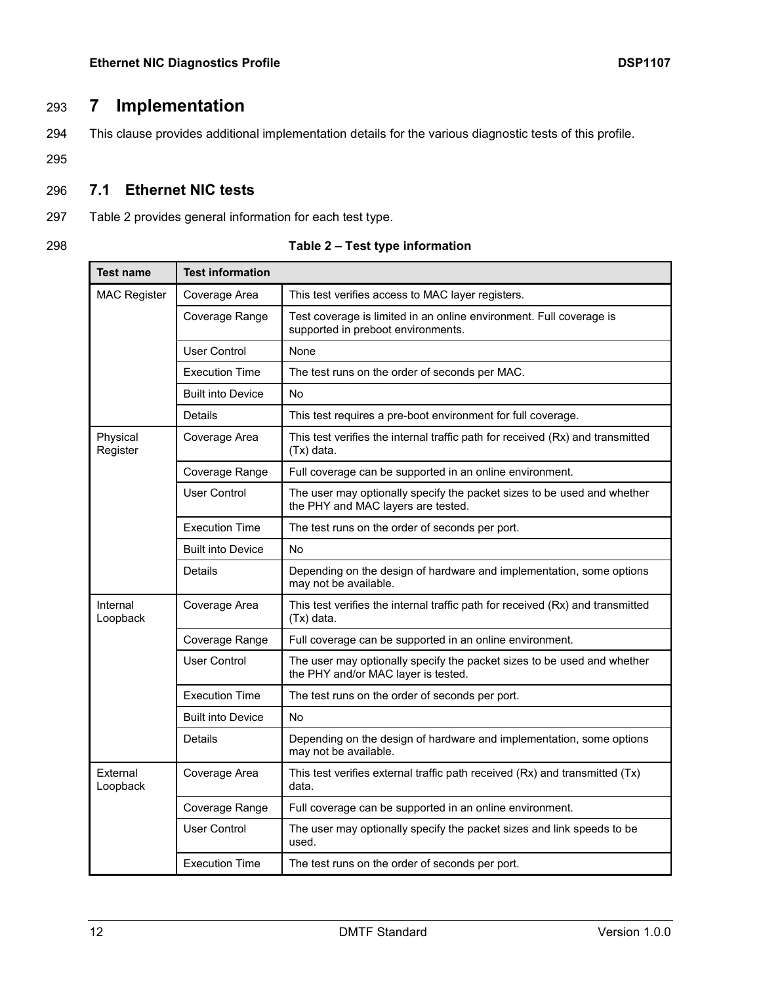# 293 **7 Implementation**

<span id="page-11-0"></span>294 This clause provides additional implementation details for the various diagnostic tests of this profile.

295

# <span id="page-11-1"></span>296 **7.1 Ethernet NIC tests**

- 297 [Table 2](#page-11-2) provides general information for each test type.
- 

<span id="page-11-2"></span>

| <b>Test name</b>     | <b>Test information</b>  |                                                                                                                |  |
|----------------------|--------------------------|----------------------------------------------------------------------------------------------------------------|--|
| <b>MAC Register</b>  | Coverage Area            | This test verifies access to MAC layer registers.                                                              |  |
|                      | Coverage Range           | Test coverage is limited in an online environment. Full coverage is<br>supported in preboot environments.      |  |
|                      | User Control             | None                                                                                                           |  |
|                      | <b>Execution Time</b>    | The test runs on the order of seconds per MAC.                                                                 |  |
|                      | <b>Built into Device</b> | No                                                                                                             |  |
|                      | Details                  | This test requires a pre-boot environment for full coverage.                                                   |  |
| Physical<br>Register | Coverage Area            | This test verifies the internal traffic path for received (Rx) and transmitted<br>(Tx) data.                   |  |
|                      | Coverage Range           | Full coverage can be supported in an online environment.                                                       |  |
|                      | <b>User Control</b>      | The user may optionally specify the packet sizes to be used and whether<br>the PHY and MAC layers are tested.  |  |
|                      | <b>Execution Time</b>    | The test runs on the order of seconds per port.                                                                |  |
|                      | <b>Built into Device</b> | <b>No</b>                                                                                                      |  |
|                      | <b>Details</b>           | Depending on the design of hardware and implementation, some options<br>may not be available.                  |  |
| Internal<br>Loopback | Coverage Area            | This test verifies the internal traffic path for received (Rx) and transmitted<br>(Tx) data.                   |  |
|                      | Coverage Range           | Full coverage can be supported in an online environment.                                                       |  |
|                      | <b>User Control</b>      | The user may optionally specify the packet sizes to be used and whether<br>the PHY and/or MAC layer is tested. |  |
|                      | <b>Execution Time</b>    | The test runs on the order of seconds per port.                                                                |  |
|                      | <b>Built into Device</b> | No                                                                                                             |  |
|                      | <b>Details</b>           | Depending on the design of hardware and implementation, some options<br>may not be available.                  |  |
| External<br>Loopback | Coverage Area            | This test verifies external traffic path received (Rx) and transmitted (Tx)<br>data.                           |  |
|                      | Coverage Range           | Full coverage can be supported in an online environment.                                                       |  |
|                      | <b>User Control</b>      | The user may optionally specify the packet sizes and link speeds to be<br>used.                                |  |
|                      | <b>Execution Time</b>    | The test runs on the order of seconds per port.                                                                |  |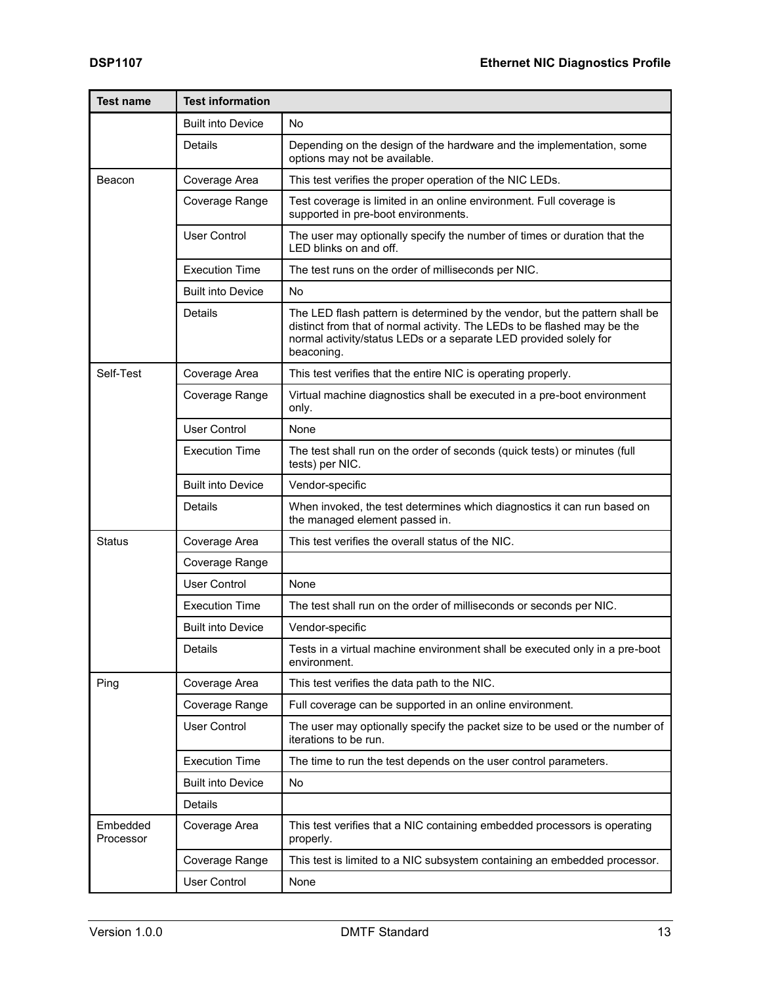| <b>Test name</b>      | <b>Test information</b>  |                                                                                                                                                                                                                                            |  |  |
|-----------------------|--------------------------|--------------------------------------------------------------------------------------------------------------------------------------------------------------------------------------------------------------------------------------------|--|--|
|                       | <b>Built into Device</b> | No.                                                                                                                                                                                                                                        |  |  |
|                       | Details                  | Depending on the design of the hardware and the implementation, some<br>options may not be available.                                                                                                                                      |  |  |
| Beacon                | Coverage Area            | This test verifies the proper operation of the NIC LEDs.                                                                                                                                                                                   |  |  |
|                       | Coverage Range           | Test coverage is limited in an online environment. Full coverage is<br>supported in pre-boot environments.                                                                                                                                 |  |  |
|                       | <b>User Control</b>      | The user may optionally specify the number of times or duration that the<br>LED blinks on and off.                                                                                                                                         |  |  |
|                       | <b>Execution Time</b>    | The test runs on the order of milliseconds per NIC.                                                                                                                                                                                        |  |  |
|                       | <b>Built into Device</b> | <b>No</b>                                                                                                                                                                                                                                  |  |  |
|                       | Details                  | The LED flash pattern is determined by the vendor, but the pattern shall be<br>distinct from that of normal activity. The LEDs to be flashed may be the<br>normal activity/status LEDs or a separate LED provided solely for<br>beaconing. |  |  |
| Self-Test             | Coverage Area            | This test verifies that the entire NIC is operating properly.                                                                                                                                                                              |  |  |
|                       | Coverage Range           | Virtual machine diagnostics shall be executed in a pre-boot environment<br>only.                                                                                                                                                           |  |  |
|                       | <b>User Control</b>      | None                                                                                                                                                                                                                                       |  |  |
|                       | <b>Execution Time</b>    | The test shall run on the order of seconds (quick tests) or minutes (full<br>tests) per NIC.                                                                                                                                               |  |  |
|                       | <b>Built into Device</b> | Vendor-specific                                                                                                                                                                                                                            |  |  |
|                       | <b>Details</b>           | When invoked, the test determines which diagnostics it can run based on<br>the managed element passed in.                                                                                                                                  |  |  |
| <b>Status</b>         | Coverage Area            | This test verifies the overall status of the NIC.                                                                                                                                                                                          |  |  |
|                       | Coverage Range           |                                                                                                                                                                                                                                            |  |  |
|                       | <b>User Control</b>      | None                                                                                                                                                                                                                                       |  |  |
|                       | <b>Execution Time</b>    | The test shall run on the order of milliseconds or seconds per NIC.                                                                                                                                                                        |  |  |
|                       | <b>Built into Device</b> | Vendor-specific                                                                                                                                                                                                                            |  |  |
|                       | Details                  | Tests in a virtual machine environment shall be executed only in a pre-boot<br>environment.                                                                                                                                                |  |  |
| Ping                  | Coverage Area            | This test verifies the data path to the NIC.                                                                                                                                                                                               |  |  |
|                       | Coverage Range           | Full coverage can be supported in an online environment.                                                                                                                                                                                   |  |  |
|                       | <b>User Control</b>      | The user may optionally specify the packet size to be used or the number of<br>iterations to be run.                                                                                                                                       |  |  |
|                       | <b>Execution Time</b>    | The time to run the test depends on the user control parameters.                                                                                                                                                                           |  |  |
|                       | <b>Built into Device</b> | No                                                                                                                                                                                                                                         |  |  |
|                       | Details                  |                                                                                                                                                                                                                                            |  |  |
| Embedded<br>Processor | Coverage Area            | This test verifies that a NIC containing embedded processors is operating<br>properly.                                                                                                                                                     |  |  |
|                       | Coverage Range           | This test is limited to a NIC subsystem containing an embedded processor.                                                                                                                                                                  |  |  |
|                       | <b>User Control</b>      | None                                                                                                                                                                                                                                       |  |  |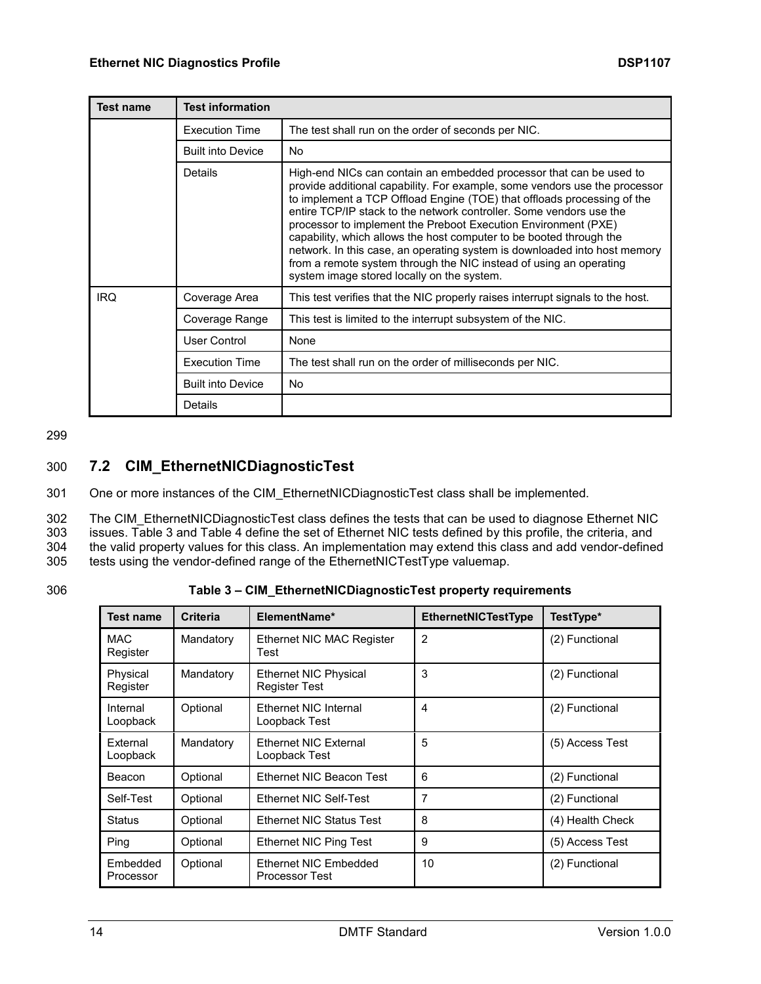| <b>Test name</b> | <b>Test information</b>  |                                                                                                                                                                                                                                                                                                                                                                                                                                                                                                                                                                                                                                               |  |
|------------------|--------------------------|-----------------------------------------------------------------------------------------------------------------------------------------------------------------------------------------------------------------------------------------------------------------------------------------------------------------------------------------------------------------------------------------------------------------------------------------------------------------------------------------------------------------------------------------------------------------------------------------------------------------------------------------------|--|
|                  | <b>Execution Time</b>    | The test shall run on the order of seconds per NIC.                                                                                                                                                                                                                                                                                                                                                                                                                                                                                                                                                                                           |  |
|                  | <b>Built into Device</b> | No.                                                                                                                                                                                                                                                                                                                                                                                                                                                                                                                                                                                                                                           |  |
|                  | Details                  | High-end NICs can contain an embedded processor that can be used to<br>provide additional capability. For example, some vendors use the processor<br>to implement a TCP Offload Engine (TOE) that offloads processing of the<br>entire TCP/IP stack to the network controller. Some vendors use the<br>processor to implement the Preboot Execution Environment (PXE)<br>capability, which allows the host computer to be booted through the<br>network. In this case, an operating system is downloaded into host memory<br>from a remote system through the NIC instead of using an operating<br>system image stored locally on the system. |  |
| <b>IRQ</b>       | Coverage Area            | This test verifies that the NIC properly raises interrupt signals to the host.                                                                                                                                                                                                                                                                                                                                                                                                                                                                                                                                                                |  |
|                  | Coverage Range           | This test is limited to the interrupt subsystem of the NIC.                                                                                                                                                                                                                                                                                                                                                                                                                                                                                                                                                                                   |  |
|                  | User Control             | None                                                                                                                                                                                                                                                                                                                                                                                                                                                                                                                                                                                                                                          |  |
|                  | <b>Execution Time</b>    | The test shall run on the order of milliseconds per NIC.                                                                                                                                                                                                                                                                                                                                                                                                                                                                                                                                                                                      |  |
|                  | <b>Built into Device</b> | No.                                                                                                                                                                                                                                                                                                                                                                                                                                                                                                                                                                                                                                           |  |
|                  | Details                  |                                                                                                                                                                                                                                                                                                                                                                                                                                                                                                                                                                                                                                               |  |

#### 299

# <span id="page-13-0"></span>300 **7.2 CIM\_EthernetNICDiagnosticTest**

301 One or more instances of the CIM\_EthernetNICDiagnosticTest class shall be implemented.

302 The CIM\_EthernetNICDiagnosticTest class defines the tests that can be used to diagnose Ethernet NIC 303 issues. [Table 3](#page-13-1) and [Table 4](#page-14-1) define the set of Ethernet NIC tests defined by this profile, the criteria, and<br>304 the valid property values for this class. An implementation may extend this class and add vendor-define the valid property values for this class. An implementation may extend this class and add vendor-defined 305 tests using the vendor-defined range of the EthernetNICTestType valuemap.

306 **Table 3 – CIM\_EthernetNICDiagnosticTest property requirements**

<span id="page-13-1"></span>

| <b>Test name</b>       | <b>Criteria</b> | ElementName*                                         | <b>EthernetNICTestType</b> | TestType*        |
|------------------------|-----------------|------------------------------------------------------|----------------------------|------------------|
| <b>MAC</b><br>Register | Mandatory       | Ethernet NIC MAC Register<br>Test                    | $\overline{2}$             | (2) Functional   |
| Physical<br>Register   | Mandatory       | <b>Ethernet NIC Physical</b><br><b>Register Test</b> | 3                          | (2) Functional   |
| Internal<br>Loopback   | Optional        | Ethernet NIC Internal<br>Loopback Test               | 4                          | (2) Functional   |
| External<br>Loopback   | Mandatory       | Ethernet NIC External<br>Loopback Test               | 5                          | (5) Access Test  |
| Beacon                 | Optional        | Ethernet NIC Beacon Test                             | 6                          | (2) Functional   |
| Self-Test              | Optional        | Ethernet NIC Self-Test                               | 7                          | (2) Functional   |
| Status                 | Optional        | <b>Ethernet NIC Status Test</b>                      | 8                          | (4) Health Check |
| Ping                   | Optional        | Ethernet NIC Ping Test                               | 9                          | (5) Access Test  |
| Embedded<br>Processor  | Optional        | Ethernet NIC Embedded<br><b>Processor Test</b>       | 10                         | (2) Functional   |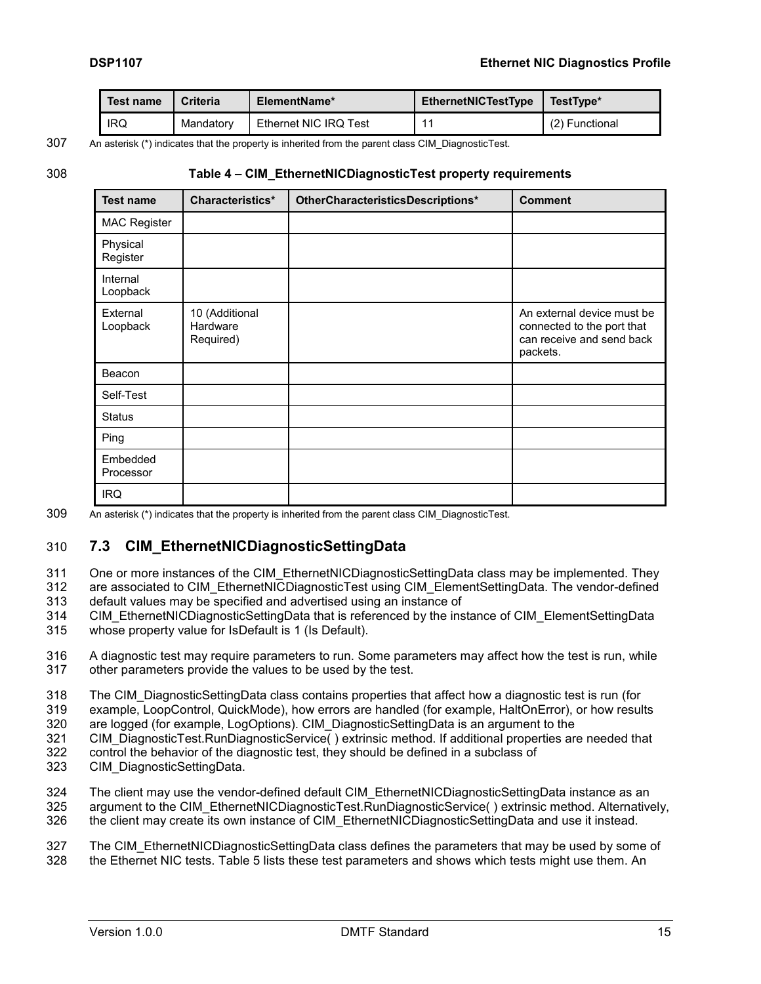| Test name  | Criteria  | ElementName*          | <b>EthernetNICTestType</b> | TestType*      |
|------------|-----------|-----------------------|----------------------------|----------------|
| <b>IRQ</b> | Mandatory | Ethernet NIC IRQ Test |                            | (2) Functional |

# 307 An asterisk (\*) indicates that the property is inherited from the parent class CIM\_DiagnosticTest.

#### 308 **Table 4 – CIM\_EthernetNICDiagnosticTest property requirements**

<span id="page-14-1"></span>

| <b>Test name</b>      | Characteristics*                        | OtherCharacteristicsDescriptions* | <b>Comment</b>                                                                                    |
|-----------------------|-----------------------------------------|-----------------------------------|---------------------------------------------------------------------------------------------------|
| <b>MAC Register</b>   |                                         |                                   |                                                                                                   |
| Physical<br>Register  |                                         |                                   |                                                                                                   |
| Internal<br>Loopback  |                                         |                                   |                                                                                                   |
| External<br>Loopback  | 10 (Additional<br>Hardware<br>Required) |                                   | An external device must be<br>connected to the port that<br>can receive and send back<br>packets. |
| Beacon                |                                         |                                   |                                                                                                   |
| Self-Test             |                                         |                                   |                                                                                                   |
| <b>Status</b>         |                                         |                                   |                                                                                                   |
| Ping                  |                                         |                                   |                                                                                                   |
| Embedded<br>Processor |                                         |                                   |                                                                                                   |
| <b>IRQ</b>            |                                         |                                   |                                                                                                   |

<span id="page-14-0"></span>309 An asterisk (\*) indicates that the property is inherited from the parent class CIM\_DiagnosticTest.

#### 310 **7.3 CIM\_EthernetNICDiagnosticSettingData**

- 311 One or more instances of the CIM\_EthernetNICDiagnosticSettingData class may be implemented. They 312 are associated to CIM\_EthernetNICDiagnosticTest using CIM\_ElementSettingData. The vendor-defined
- 313 default values may be specified and advertised using an instance of
- 314 CIM\_EthernetNICDiagnosticSettingData that is referenced by the instance of CIM\_ElementSettingData 315 whose property value for IsDefault is 1 (Is Default).

316 A diagnostic test may require parameters to run. Some parameters may affect how the test is run, while 317 other parameters provide the values to be used by the test.

- 318 The CIM\_DiagnosticSettingData class contains properties that affect how a diagnostic test is run (for
- 319 example, LoopControl, QuickMode), how errors are handled (for example, HaltOnError), or how results
- 320 are logged (for example, LogOptions). CIM\_DiagnosticSettingData is an argument to the
- 321 CIM\_DiagnosticTest.RunDiagnosticService( ) extrinsic method. If additional properties are needed that
- 322 control the behavior of the diagnostic test, they should be defined in a subclass of 323 CIM DiagnosticSettingData.
- CIM\_DiagnosticSettingData.
- 324 The client may use the vendor-defined default CIM\_EthernetNICDiagnosticSettingData instance as an
- 325 argument to the CIM EthernetNICDiagnosticTest.RunDiagnosticService() extrinsic method. Alternatively, 326 the client may create its own instance of CIM EthernetNICDiagnosticSettingData and use it instead.

#### 327 The CIM\_EthernetNICDiagnosticSettingData class defines the parameters that may be used by some of 328 the Ethernet NIC tests. Table 5 lists these test parameters and shows which tests might use them. An the Ethernet NIC tests. [Table 5](#page-15-0) lists these test parameters and shows which tests might use them. An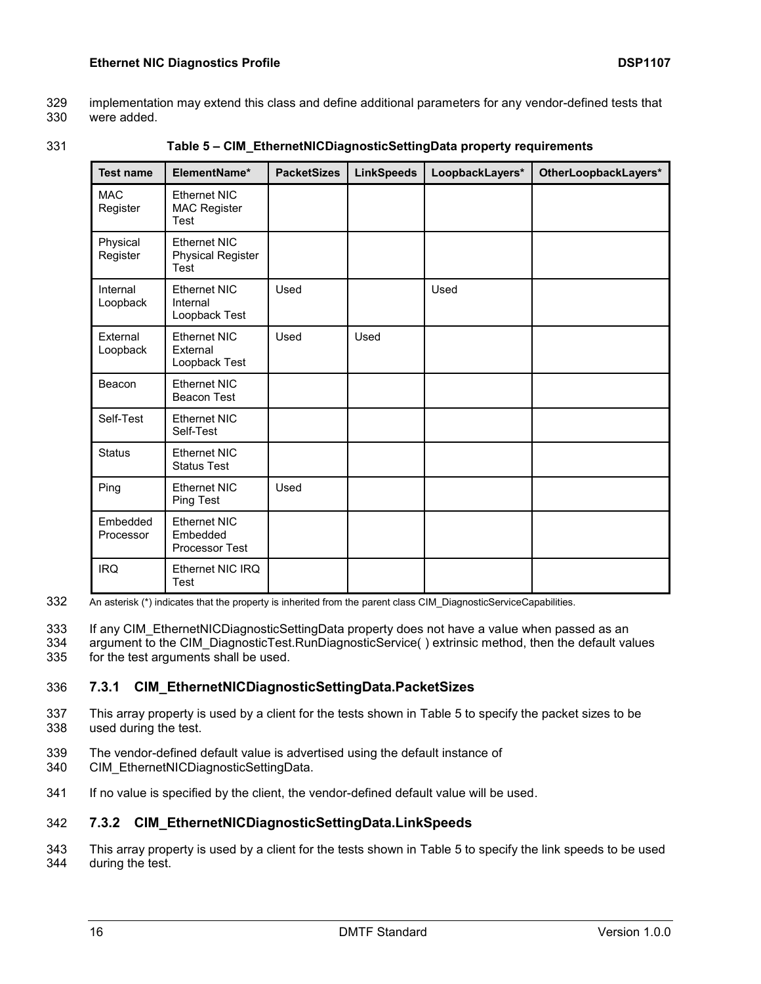- 329 implementation may extend this class and define additional parameters for any vendor-defined tests that were added.
- 
- 

331 **Table 5 – CIM\_EthernetNICDiagnosticSettingData property requirements**

<span id="page-15-0"></span>

| <b>Test name</b>       | ElementName*                                            | <b>PacketSizes</b> | <b>LinkSpeeds</b> | LoopbackLayers* | OtherLoopbackLayers* |
|------------------------|---------------------------------------------------------|--------------------|-------------------|-----------------|----------------------|
| <b>MAC</b><br>Register | Ethernet NIC<br><b>MAC Register</b><br>Test             |                    |                   |                 |                      |
| Physical<br>Register   | <b>Ethernet NIC</b><br><b>Physical Register</b><br>Test |                    |                   |                 |                      |
| Internal<br>Loopback   | Ethernet NIC<br>Internal<br>Loopback Test               | Used               |                   | Used            |                      |
| External<br>Loopback   | <b>Ethernet NIC</b><br>External<br>Loopback Test        | Used               | Used              |                 |                      |
| Beacon                 | Ethernet NIC<br><b>Beacon Test</b>                      |                    |                   |                 |                      |
| Self-Test              | Ethernet NIC<br>Self-Test                               |                    |                   |                 |                      |
| <b>Status</b>          | Ethernet NIC<br><b>Status Test</b>                      |                    |                   |                 |                      |
| Ping                   | <b>Ethernet NIC</b><br><b>Ping Test</b>                 | Used               |                   |                 |                      |
| Embedded<br>Processor  | <b>Ethernet NIC</b><br>Embedded<br>Processor Test       |                    |                   |                 |                      |
| <b>IRQ</b>             | Ethernet NIC IRQ<br><b>Test</b>                         |                    |                   |                 |                      |

332 An asterisk (\*) indicates that the property is inherited from the parent class CIM\_DiagnosticServiceCapabilities.

333 If any CIM EthernetNICDiagnosticSettingData property does not have a value when passed as an

334 argument to the CIM\_DiagnosticTest.RunDiagnosticService() extrinsic method, then the default values 335 for the test arguments shall be used.

#### <span id="page-15-1"></span>336 **7.3.1 CIM\_EthernetNICDiagnosticSettingData.PacketSizes**

- 337 This array property is used by a client for the tests shown in [Table 5](#page-15-0) to specify the packet sizes to be 338 used during the test.
- 339 The vendor-defined default value is advertised using the default instance of
- 340 CIM\_EthernetNICDiagnosticSettingData.
- <span id="page-15-2"></span>341 If no value is specified by the client, the vendor-defined default value will be used.

#### 342 **7.3.2 CIM\_EthernetNICDiagnosticSettingData.LinkSpeeds**

343 This array property is used by a client for the tests shown in [Table 5](#page-15-0) to specify the link speeds to be used 344 during the test.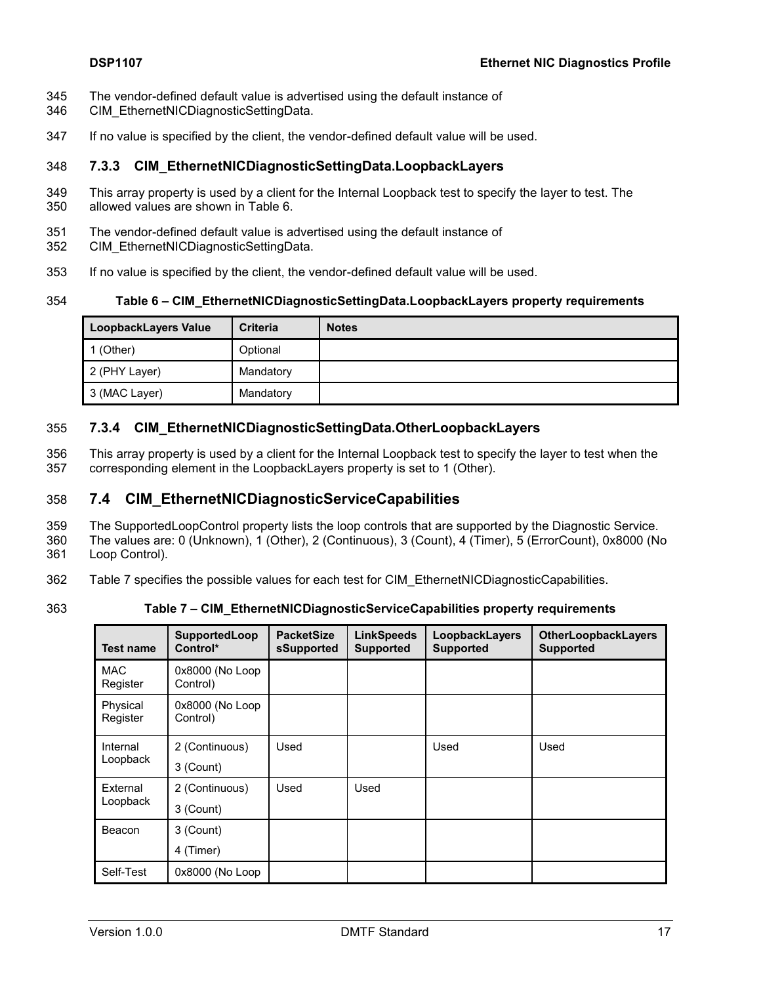- 345 The vendor-defined default value is advertised using the default instance of
- 346 CIM\_EthernetNICDiagnosticSettingData.
- <span id="page-16-3"></span>347 If no value is specified by the client, the vendor-defined default value will be used.

#### 348 **7.3.3 CIM\_EthernetNICDiagnosticSettingData.LoopbackLayers**

- 349 This array property is used by a client for the Internal Loopback test to specify the layer to test. The 350 allowed values are shown in [Table](#page-16-1) 6.
- 351 The vendor-defined default value is advertised using the default instance of
- 352 CIM\_EthernetNICDiagnosticSettingData.
- 353 If no value is specified by the client, the vendor-defined default value will be used.

```
354 Table 6 – CIM_EthernetNICDiagnosticSettingData.LoopbackLayers property requirements
```
<span id="page-16-1"></span>

| LoopbackLayers Value | <b>Criteria</b> | <b>Notes</b> |
|----------------------|-----------------|--------------|
| (Other)              | Optional        |              |
| 2 (PHY Layer)        | Mandatory       |              |
| 3 (MAC Layer)        | Mandatory       |              |

#### 355 **7.3.4 CIM\_EthernetNICDiagnosticSettingData.OtherLoopbackLayers**

356 This array property is used by a client for the Internal Loopback test to specify the layer to test when the 357 corresponding element in the LoopbackLayers property is set to 1 (Other).

#### <span id="page-16-0"></span>358 **7.4 CIM\_EthernetNICDiagnosticServiceCapabilities**

359 The SupportedLoopControl property lists the loop controls that are supported by the Diagnostic Service.

360 The values are: 0 (Unknown), 1 (Other), 2 (Continuous), 3 (Count), 4 (Timer), 5 (ErrorCount), 0x8000 (No 361 Loop Control).

- 362 [Table](#page-16-2) 7 specifies the possible values for each test for CIM\_EthernetNICDiagnosticCapabilities.
- 

363 **Table 7 – CIM\_EthernetNICDiagnosticServiceCapabilities property requirements**

<span id="page-16-2"></span>

| <b>Test name</b>       | SupportedLoop<br>Control*   | <b>PacketSize</b><br>sSupported | <b>LinkSpeeds</b><br><b>Supported</b> | LoopbackLayers<br><b>Supported</b> | <b>OtherLoopbackLayers</b><br><b>Supported</b> |
|------------------------|-----------------------------|---------------------------------|---------------------------------------|------------------------------------|------------------------------------------------|
| <b>MAC</b><br>Register | 0x8000 (No Loop<br>Control) |                                 |                                       |                                    |                                                |
| Physical<br>Register   | 0x8000 (No Loop<br>Control) |                                 |                                       |                                    |                                                |
| Internal<br>Loopback   | 2 (Continuous)<br>3 (Count) | Used                            |                                       | Used                               | Used                                           |
| External<br>Loopback   | 2 (Continuous)<br>3 (Count) | Used                            | Used                                  |                                    |                                                |
| Beacon                 | 3 (Count)<br>4 (Timer)      |                                 |                                       |                                    |                                                |
| Self-Test              | 0x8000 (No Loop             |                                 |                                       |                                    |                                                |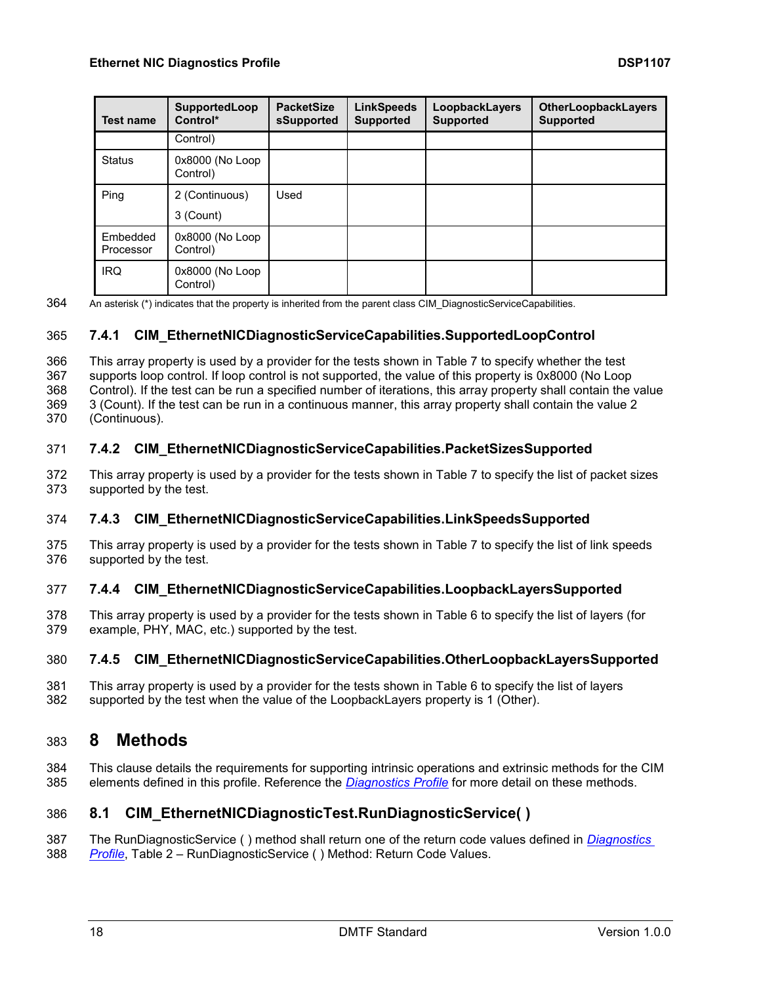| <b>Test name</b>      | SupportedLoop<br>Control*   | <b>PacketSize</b><br>sSupported | <b>LinkSpeeds</b><br><b>Supported</b> | LoopbackLayers<br><b>Supported</b> | <b>OtherLoopbackLayers</b><br><b>Supported</b> |
|-----------------------|-----------------------------|---------------------------------|---------------------------------------|------------------------------------|------------------------------------------------|
|                       | Control)                    |                                 |                                       |                                    |                                                |
| <b>Status</b>         | 0x8000 (No Loop<br>Control) |                                 |                                       |                                    |                                                |
| Ping                  | 2 (Continuous)              | Used                            |                                       |                                    |                                                |
|                       | 3 (Count)                   |                                 |                                       |                                    |                                                |
| Embedded<br>Processor | 0x8000 (No Loop<br>Control) |                                 |                                       |                                    |                                                |
| <b>IRQ</b>            | 0x8000 (No Loop<br>Control) |                                 |                                       |                                    |                                                |

364 An asterisk (\*) indicates that the property is inherited from the parent class CIM\_DiagnosticServiceCapabilities.

#### <span id="page-17-2"></span>365 **7.4.1 CIM\_EthernetNICDiagnosticServiceCapabilities.SupportedLoopControl**

 This array property is used by a provider for the tests shown in [Table](#page-16-2) 7 to specify whether the test supports loop control. If loop control is not supported, the value of this property is 0x8000 (No Loop Control). If the test can be run a specified number of iterations, this array property shall contain the value 3 (Count). If the test can be run in a continuous manner, this array property shall contain the value 2

<span id="page-17-3"></span>370 (Continuous).

#### 371 **7.4.2 CIM\_EthernetNICDiagnosticServiceCapabilities.PacketSizesSupported**

372 This array property is used by a provider for the tests shown in [Table](#page-16-2) 7 to specify the list of packet sizes 373 supported by the test.

#### <span id="page-17-4"></span>374 **7.4.3 CIM\_EthernetNICDiagnosticServiceCapabilities.LinkSpeedsSupported**

375 This array property is used by a provider for the tests shown in [Table](#page-16-2) 7 to specify the list of link speeds 376 supported by the test.

#### <span id="page-17-5"></span>377 **7.4.4 CIM\_EthernetNICDiagnosticServiceCapabilities.LoopbackLayersSupported**

378 This array property is used by a provider for the tests shown in [Table](#page-16-1) 6 to specify the list of layers (for 379 example, PHY, MAC, etc.) supported by the test.

#### 380 **7.4.5 CIM\_EthernetNICDiagnosticServiceCapabilities.OtherLoopbackLayersSupported**

381 This array property is used by a provider for the tests shown in [Table](#page-16-1) 6 to specify the list of layers 382 supported by the test when the value of the LoopbackLayers property is 1 (Other).

# <span id="page-17-0"></span>383 **8 Methods**

384 This clause details the requirements for supporting intrinsic operations and extrinsic methods for the CIM 385 elements defined in this profile. Reference the *[Diagnostics Profile](#page-6-10)* for more detail on these methods.

# <span id="page-17-1"></span>386 **8.1 CIM\_EthernetNICDiagnosticTest.RunDiagnosticService( )**

387 The RunDiagnosticService ( ) method shall return one of the return code values defined in *[Diagnostics](#page-6-10)*  388 *[Profile](#page-6-10)*, Table 2 – RunDiagnosticService ( ) Method: Return Code Values.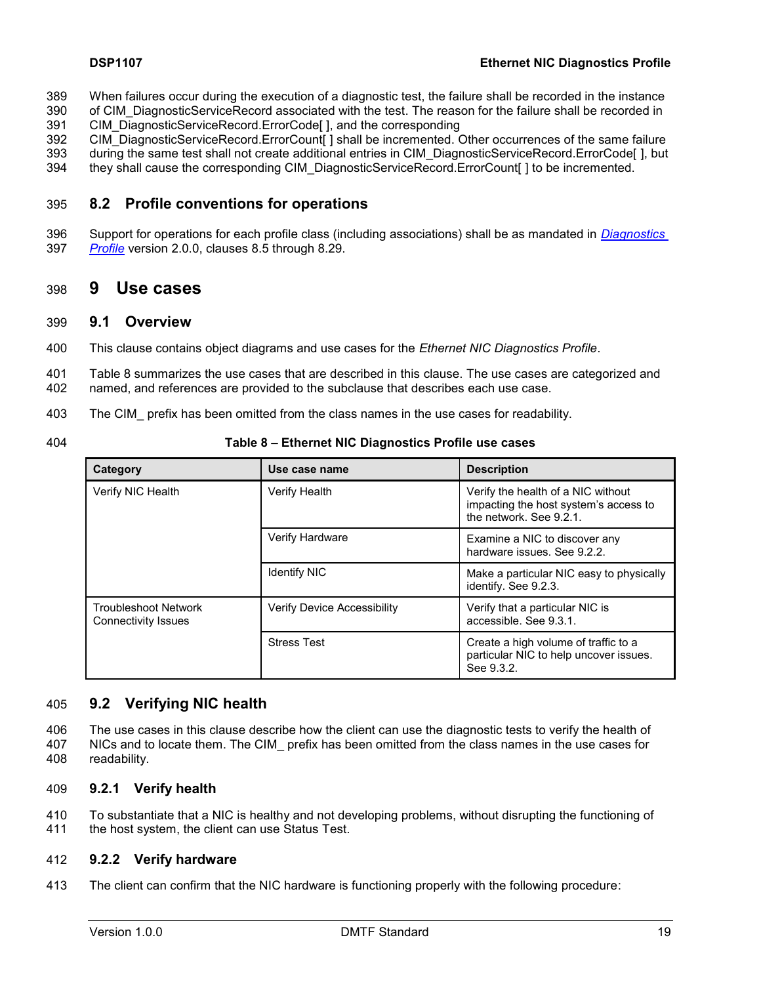- 389 When failures occur during the execution of a diagnostic test, the failure shall be recorded in the instance
- 390 of CIM DiagnosticServiceRecord associated with the test. The reason for the failure shall be recorded in 391 CIM\_DiagnosticServiceRecord.ErrorCode[ ], and the corresponding
- 392 CIM\_DiagnosticServiceRecord.ErrorCount[] shall be incremented. Other occurrences of the same failure
- 393 during the same test shall not create additional entries in CIM\_DiagnosticServiceRecord.ErrorCode[ ], but
- <span id="page-18-0"></span>394 they shall cause the corresponding CIM\_DiagnosticServiceRecord.ErrorCount[ ] to be incremented.

### 395 **8.2 Profile conventions for operations**

396 Support for operations for each profile class (including associations) shall be as mandated in *[Diagnostics](#page-6-10)*  397 *[Profile](#page-6-10)* version 2.0.0, clauses 8.5 through 8.29.

## <span id="page-18-1"></span>398 **9 Use cases**

#### <span id="page-18-2"></span>399 **9.1 Overview**

400 This clause contains object diagrams and use cases for the *Ethernet NIC Diagnostics Profile*.

401 [Table 8](#page-18-4) summarizes the use cases that are described in this clause. The use cases are categorized and 402 named, and references are provided to the subclause that describes each use case.

- 403 The CIM\_ prefix has been omitted from the class names in the use cases for readability.
- 

404 **Table 8 – Ethernet NIC Diagnostics Profile use cases**

<span id="page-18-4"></span>

| Category                                           | Use case name                                                                                                                  | <b>Description</b>                                                                           |
|----------------------------------------------------|--------------------------------------------------------------------------------------------------------------------------------|----------------------------------------------------------------------------------------------|
| Verify NIC Health                                  | <b>Verify Health</b><br>Verify the health of a NIC without<br>impacting the host system's access to<br>the network. See 9.2.1. |                                                                                              |
|                                                    | Verify Hardware<br>Examine a NIC to discover any<br>hardware issues. See 9.2.2.                                                |                                                                                              |
|                                                    | <b>Identify NIC</b>                                                                                                            | Make a particular NIC easy to physically<br>identify. See 9.2.3.                             |
| <b>Troubleshoot Network</b><br>Connectivity Issues | Verify Device Accessibility                                                                                                    | Verify that a particular NIC is<br>accessible. See 9.3.1.                                    |
|                                                    | <b>Stress Test</b>                                                                                                             | Create a high volume of traffic to a<br>particular NIC to help uncover issues.<br>See 9.3.2. |

#### <span id="page-18-3"></span>405 **9.2 Verifying NIC health**

406 The use cases in this clause describe how the client can use the diagnostic tests to verify the health of 407 NICs and to locate them. The CIM\_ prefix has been omitted from the class names in the use cases for 408 readability.

#### <span id="page-18-5"></span>409 **9.2.1 Verify health**

410 To substantiate that a NIC is healthy and not developing problems, without disrupting the functioning of 411 the host system, the client can use Status Test.

#### <span id="page-18-6"></span>412 **9.2.2 Verify hardware**

413 The client can confirm that the NIC hardware is functioning properly with the following procedure: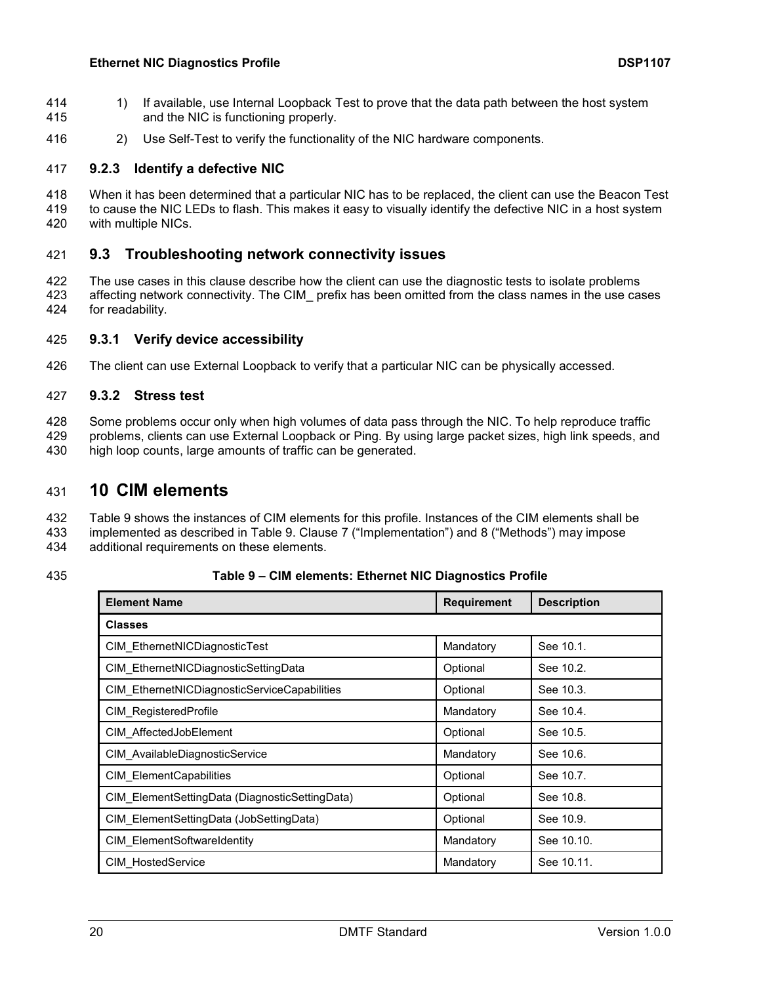- 414 1) If available, use Internal Loopback Test to prove that the data path between the host system 415 and the NIC is functioning properly.
- <span id="page-19-3"></span>416 2) Use Self-Test to verify the functionality of the NIC hardware components.

#### 417 **9.2.3 Identify a defective NIC**

418 When it has been determined that a particular NIC has to be replaced, the client can use the Beacon Test 419 to cause the NIC LEDs to flash. This makes it easy to visually identify the defective NIC in a host system 420 with multiple NICs.

#### <span id="page-19-0"></span>421 **9.3 Troubleshooting network connectivity issues**

422 The use cases in this clause describe how the client can use the diagnostic tests to isolate problems 423 affecting network connectivity. The CIM\_ prefix has been omitted from the class names in the use cases 424 for readability.

#### <span id="page-19-4"></span>425 **9.3.1 Verify device accessibility**

<span id="page-19-5"></span>426 The client can use External Loopback to verify that a particular NIC can be physically accessed.

#### 427 **9.3.2 Stress test**

- 428 Some problems occur only when high volumes of data pass through the NIC. To help reproduce traffic
- 429 problems, clients can use External Loopback or Ping. By using large packet sizes, high link speeds, and 430 high loop counts, large amounts of traffic can be generated.

# <span id="page-19-1"></span>431 **10 CIM elements**

- 432 [Table 9](#page-19-2) shows the instances of CIM elements for this profile. Instances of the CIM elements shall be<br>433 implemented as described in Table 9. Clause 7 ("Implementation") and 8 ("Methods") may impose implemented as described in [Table 9.](#page-19-2) Clause [7](#page-11-0) ("Implementation") and [8](#page-17-0) ("Methods") may impose
- 434 additional requirements on these elements.

#### 435 **Table 9 – CIM elements: Ethernet NIC Diagnostics Profile**

<span id="page-19-2"></span>

| <b>Element Name</b>                            | <b>Requirement</b> | <b>Description</b> |
|------------------------------------------------|--------------------|--------------------|
| <b>Classes</b>                                 |                    |                    |
| CIM EthernetNICDiagnosticTest                  | Mandatory          | See 10.1.          |
| CIM EthernetNICDiagnosticSettingData           | Optional           | See 10.2.          |
| CIM EthernetNICDiagnosticServiceCapabilities   | Optional           | See 10.3.          |
| CIM RegisteredProfile                          | Mandatory          | See 10.4.          |
| CIM AffectedJobElement                         | Optional           | See 10.5.          |
| CIM AvailableDiagnosticService                 | Mandatory          | See 10.6.          |
| <b>CIM ElementCapabilities</b>                 | Optional           | See 10.7.          |
| CIM ElementSettingData (DiagnosticSettingData) | Optional           | See 10.8.          |
| CIM ElementSettingData (JobSettingData)        | Optional           | See 10.9.          |
| CIM ElementSoftwareIdentity                    | Mandatory          | See 10.10.         |
| <b>CIM HostedService</b>                       | Mandatory          | See 10.11.         |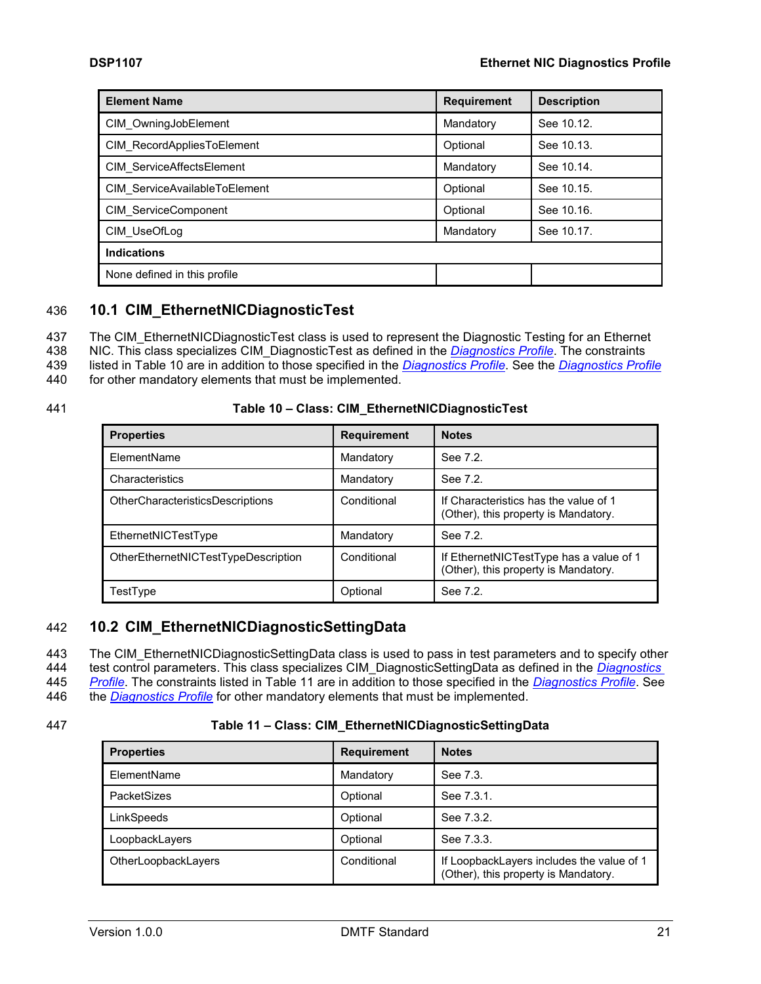| <b>Element Name</b>           | <b>Requirement</b> | <b>Description</b> |
|-------------------------------|--------------------|--------------------|
| CIM OwningJobElement          | Mandatory          | See 10.12.         |
| CIM RecordAppliesToElement    | Optional           | See 10.13.         |
| CIM ServiceAffectsElement     | Mandatory          | See 10.14.         |
| CIM ServiceAvailableToElement | Optional           | See 10.15.         |
| CIM ServiceComponent          | Optional           | See 10.16.         |
| CIM UseOfLog                  | Mandatory          | See 10.17.         |
| <b>Indications</b>            |                    |                    |
| None defined in this profile  |                    |                    |

### <span id="page-20-0"></span>436 **10.1 CIM\_EthernetNICDiagnosticTest**

437 The CIM\_EthernetNICDiagnosticTest class is used to represent the Diagnostic Testing for an Ethernet

438 NIC. This class specializes CIM\_DiagnosticTest as defined in the *[Diagnostics Profile](#page-6-10)*. The constraints

439 listed in [Table 10](#page-20-2) are in addition to those specified in the *[Diagnostics Profile](#page-6-10)*. See the *[Diagnostics Profile](#page-6-10)* 440 for other mandatory elements that must be implemented.

#### 441 **Table 10 – Class: CIM\_EthernetNICDiagnosticTest**

<span id="page-20-2"></span>

| <b>Properties</b>                       | <b>Requirement</b> | <b>Notes</b>                                                                    |
|-----------------------------------------|--------------------|---------------------------------------------------------------------------------|
| ElementName                             | Mandatory          | See 7.2.                                                                        |
| Characteristics                         | Mandatory          | See 7.2.                                                                        |
| <b>OtherCharacteristicsDescriptions</b> | Conditional        | If Characteristics has the value of 1<br>(Other), this property is Mandatory.   |
| EthernetNICTestType                     | Mandatory          | See 7.2.                                                                        |
| OtherEthernetNICTestTypeDescription     | Conditional        | If EthernetNICTestType has a value of 1<br>(Other), this property is Mandatory. |
| TestType                                | Optional           | See 7.2.                                                                        |

## <span id="page-20-1"></span>442 **10.2 CIM\_EthernetNICDiagnosticSettingData**

443 The CIM\_EthernetNICDiagnosticSettingData class is used to pass in test parameters and to specify other

444 test control parameters. This class specializes CIM\_DiagnosticSettingData as defined in the *[Diagnostics](#page-6-10)* 

445 *[Profile](#page-6-10)*. The constraints listed in [Table](#page-20-3) 11 are in addition to those specified in the *[Diagnostics Profile](#page-6-10)*. See 446 the *[Diagnostics Profile](#page-6-10)* for other mandatory elements that must be implemented.

#### 447 **Table 11 – Class: CIM\_EthernetNICDiagnosticSettingData**

<span id="page-20-3"></span>

| <b>Properties</b>   | <b>Requirement</b> | <b>Notes</b>                                                                      |
|---------------------|--------------------|-----------------------------------------------------------------------------------|
| ElementName         | Mandatory          | See 7.3.                                                                          |
| <b>PacketSizes</b>  | Optional           | See 7.3.1.                                                                        |
| LinkSpeeds          | Optional           | See 7.3.2.                                                                        |
| LoopbackLayers      | Optional           | See 7.3.3.                                                                        |
| OtherLoopbackLayers | Conditional        | If LoopbackLayers includes the value of 1<br>(Other), this property is Mandatory. |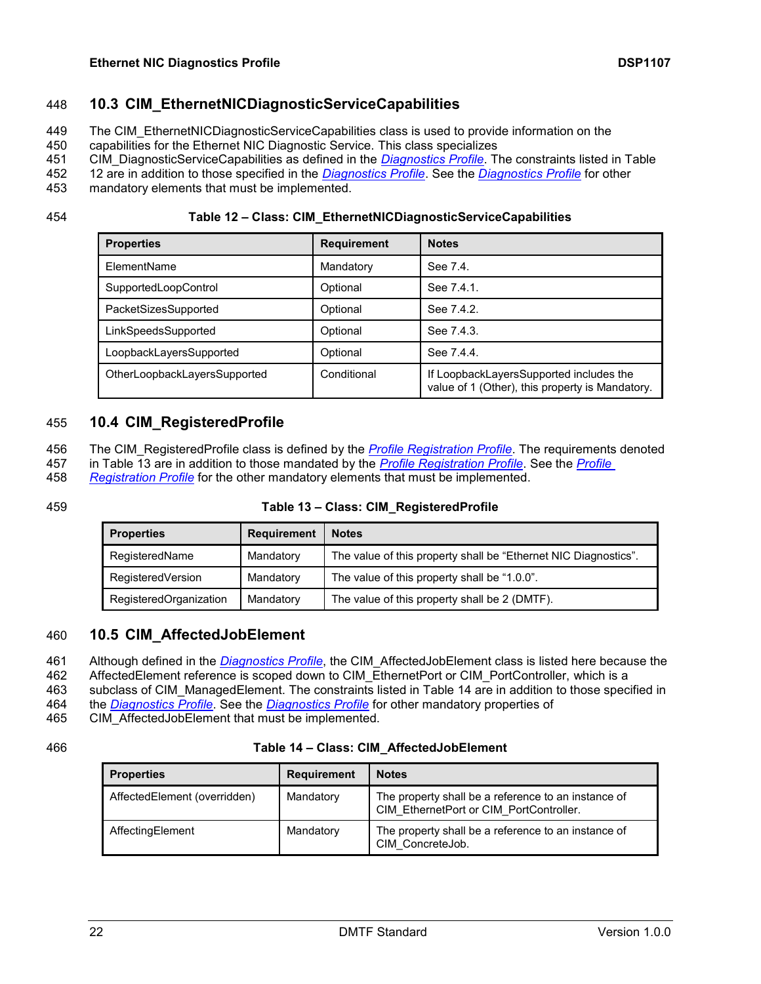## 448 **10.3 CIM\_EthernetNICDiagnosticServiceCapabilities**

- <span id="page-21-0"></span>449 The CIM\_EthernetNICDiagnosticServiceCapabilities class is used to provide information on the
- 450 capabilities for the Ethernet NIC Diagnostic Service. This class specializes
- 451 CIM\_DiagnosticServiceCapabilities as defined in the *[Diagnostics Profile](#page-6-10)*. The constraints listed in [Table](#page-21-3)
- 452 [12](#page-21-3) are in addition to those specified in the *[Diagnostics Profile](#page-6-10)*. See the *[Diagnostics Profile](#page-6-10)* for other
- 453 mandatory elements that must be implemented.

454 **Table 12 – Class: CIM\_EthernetNICDiagnosticServiceCapabilities**

<span id="page-21-3"></span>

| <b>Properties</b>            | <b>Requirement</b> | <b>Notes</b>                                                                               |
|------------------------------|--------------------|--------------------------------------------------------------------------------------------|
| ElementName                  | Mandatory          | See 7.4.                                                                                   |
| SupportedLoopControl         | Optional           | See 7.4.1.                                                                                 |
| PacketSizesSupported         | Optional           | See 7.4.2.                                                                                 |
| LinkSpeedsSupported          | Optional           | See 7.4.3.                                                                                 |
| LoopbackLayersSupported      | Optional           | See 7.4.4.                                                                                 |
| OtherLoopbackLayersSupported | Conditional        | If LoopbackLayersSupported includes the<br>value of 1 (Other), this property is Mandatory. |

# <span id="page-21-1"></span>455 **10.4 CIM\_RegisteredProfile**

- 456 The CIM\_RegisteredProfile class is defined by the *[Profile Registration Profile](#page-6-11)*. The requirements denoted
- 457 in [Table 13](#page-21-4) are in addition to those mandated by the *[Profile Registration Profile](#page-6-11)*. See the *[Profile](#page-6-11)*
- 458 *[Registration Profile](#page-6-11)* for the other mandatory elements that must be implemented.

#### 459 **Table 13 – Class: CIM\_RegisteredProfile**

<span id="page-21-4"></span>

| <b>Properties</b>      | <b>Requirement</b> | <b>Notes</b>                                                    |
|------------------------|--------------------|-----------------------------------------------------------------|
| RegisteredName         | Mandatory          | The value of this property shall be "Ethernet NIC Diagnostics". |
| RegisteredVersion      | Mandatory          | The value of this property shall be "1.0.0".                    |
| RegisteredOrganization | Mandatory          | The value of this property shall be 2 (DMTF).                   |

#### <span id="page-21-2"></span>460 **10.5 CIM\_AffectedJobElement**

461 Although defined in the *[Diagnostics Profile](#page-6-10)*, the CIM\_AffectedJobElement class is listed here because the

462 AffectedElement reference is scoped down to CIM\_EthernetPort or CIM\_PortController, which is a

463 subclass of CIM\_ManagedElement. The constraints listed in [Table 14](#page-21-5) are in addition to those specified in

464 the *[Diagnostics Profile](#page-6-10)*. See the *[Diagnostics Profile](#page-6-10)* for other mandatory properties of

465 CIM\_AffectedJobElement that must be implemented.

#### 466 **Table 14 – Class: CIM\_AffectedJobElement**

<span id="page-21-5"></span>

| <b>Properties</b>            | <b>Requirement</b> | <b>Notes</b>                                                                                   |
|------------------------------|--------------------|------------------------------------------------------------------------------------------------|
| AffectedElement (overridden) | Mandatory          | The property shall be a reference to an instance of<br>CIM EthernetPort or CIM PortController. |
| AffectingElement             | Mandatory          | The property shall be a reference to an instance of<br>CIM ConcreteJob.                        |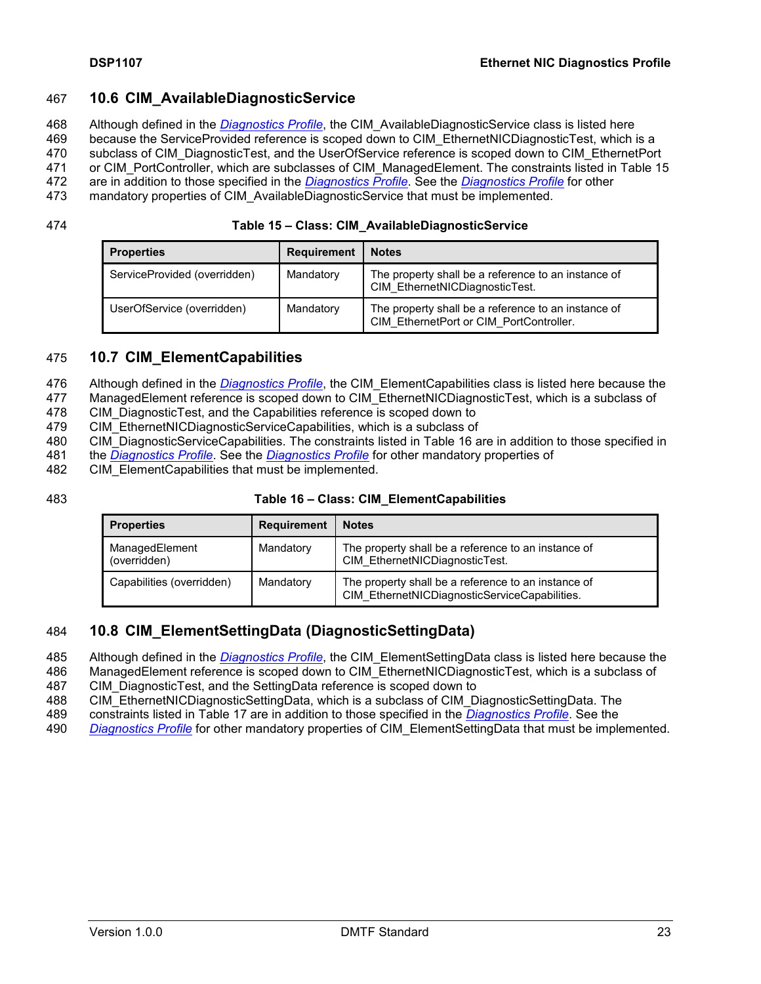#### <span id="page-22-0"></span>467 **10.6 CIM\_AvailableDiagnosticService**

468 Although defined in the *[Diagnostics Profile](#page-6-10)*, the CIM\_AvailableDiagnosticService class is listed here

469 because the ServiceProvided reference is scoped down to CIM\_EthernetNICDiagnosticTest, which is a

470 subclass of CIM\_DiagnosticTest, and the UserOfService reference is scoped down to CIM\_EthernetPort

471 or CIM PortController, which are subclasses of CIM ManagedElement. The constraints listed in [Table 15](#page-22-3)

472 are in addition to those specified in the *[Diagnostics Profile](#page-6-10)*. See the *[Diagnostics Profile](#page-6-10)* for other

473 mandatory properties of CIM\_AvailableDiagnosticService that must be implemented.

| 474<br>Table 15 - Class: CIM_AvailableDiagnosticService |
|---------------------------------------------------------|
|---------------------------------------------------------|

<span id="page-22-3"></span>

| <b>Properties</b>            | <b>Requirement</b> | <b>Notes</b>                                                                                   |
|------------------------------|--------------------|------------------------------------------------------------------------------------------------|
| ServiceProvided (overridden) | Mandatory          | The property shall be a reference to an instance of<br>CIM EthernetNICDiagnosticTest.          |
| UserOfService (overridden)   | Mandatory          | The property shall be a reference to an instance of<br>CIM EthernetPort or CIM PortController. |

# <span id="page-22-1"></span>475 **10.7 CIM\_ElementCapabilities**

476 Although defined in the *[Diagnostics Profile](#page-6-10)*, the CIM\_ElementCapabilities class is listed here because the

477 ManagedElement reference is scoped down to CIM EthernetNICDiagnosticTest, which is a subclass of

478 CIM DiagnosticTest, and the Capabilities reference is scoped down to

479 CIM\_EthernetNICDiagnosticServiceCapabilities, which is a subclass of

- 480 CIM DiagnosticServiceCapabilities. The constraints listed in [Table 16](#page-22-4) are in addition to those specified in
- 481 the *[Diagnostics Profile](#page-6-10)*. See the *[Diagnostics Profile](#page-6-10)* for other mandatory properties of
- 482 CIM ElementCapabilities that must be implemented.

#### 483 **Table 16 – Class: CIM\_ElementCapabilities**

<span id="page-22-4"></span>

| <b>Properties</b>              | <b>Requirement</b> | <b>Notes</b>                                                                                         |
|--------------------------------|--------------------|------------------------------------------------------------------------------------------------------|
| ManagedElement<br>(overridden) | Mandatory          | The property shall be a reference to an instance of<br>CIM EthernetNICDiagnosticTest.                |
| Capabilities (overridden)      | Mandatory          | The property shall be a reference to an instance of<br>CIM EthernetNICDiagnosticServiceCapabilities. |

#### <span id="page-22-2"></span>484 **10.8 CIM\_ElementSettingData (DiagnosticSettingData)**

- 485 Although defined in the *[Diagnostics Profile](#page-6-10)*, the CIM\_ElementSettingData class is listed here because the
- 486 ManagedElement reference is scoped down to CIM\_EthernetNICDiagnosticTest, which is a subclass of
- 487 CIM\_DiagnosticTest, and the SettingData reference is scoped down to
- 488 CIM\_EthernetNICDiagnosticSettingData, which is a subclass of CIM\_DiagnosticSettingData. The
- 489 constraints listed in [Table 17](#page-23-3) are in addition to those specified in the *[Diagnostics Profile](#page-6-10)*. See the
- 490 *[Diagnostics Profile](#page-6-10)* for other mandatory properties of CIM\_ElementSettingData that must be implemented.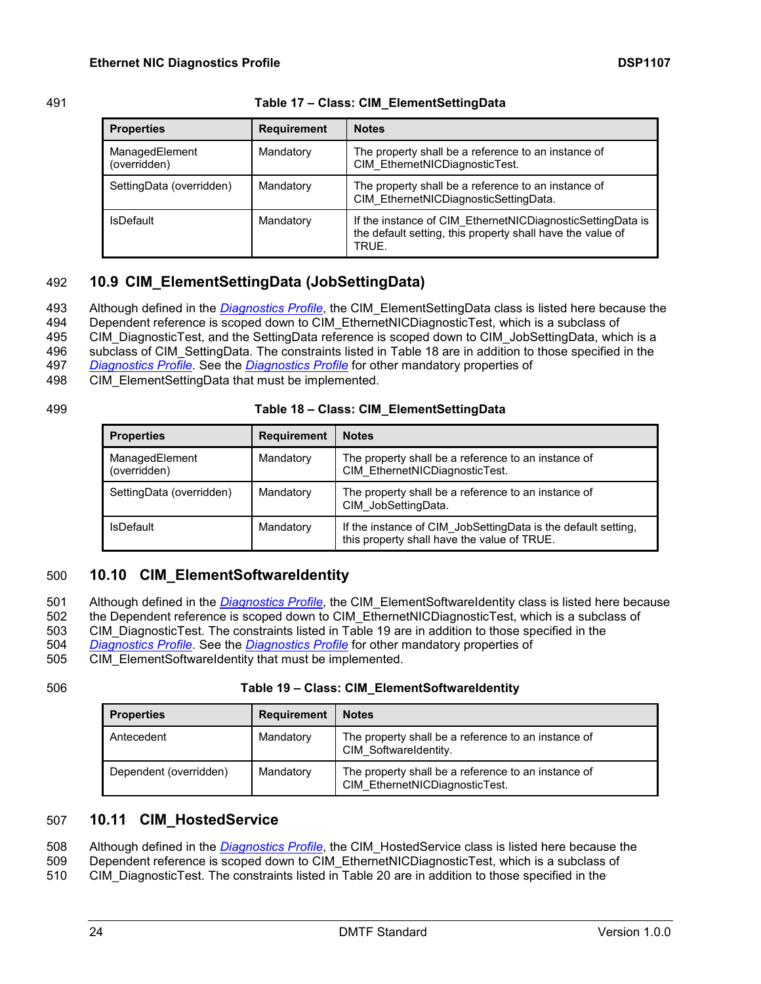| 491 | Table 17 - Class: CIM_ElementSettingData |  |
|-----|------------------------------------------|--|

<span id="page-23-3"></span>

| <b>Properties</b>              | <b>Requirement</b> | <b>Notes</b>                                                                                                                      |
|--------------------------------|--------------------|-----------------------------------------------------------------------------------------------------------------------------------|
| ManagedElement<br>(overridden) | Mandatory          | The property shall be a reference to an instance of<br>CIM_EthernetNICDiagnosticTest.                                             |
| SettingData (overridden)       | Mandatory          | The property shall be a reference to an instance of<br>CIM EthernetNICDiagnosticSettingData.                                      |
| <b>IsDefault</b>               | Mandatory          | If the instance of CIM EthernetNICDiagnosticSettingData is<br>the default setting, this property shall have the value of<br>TRUE. |

# <span id="page-23-0"></span>492 **10.9 CIM\_ElementSettingData (JobSettingData)**

493 Although defined in the *[Diagnostics Profile](#page-6-10)*, the CIM\_ElementSettingData class is listed here because the

494 Dependent reference is scoped down to CIM\_EthernetNICDiagnosticTest, which is a subclass of

495 CIM DiagnosticTest, and the SettingData reference is scoped down to CIM JobSettingData, which is a

496 subclass of CIM\_SettingData. The constraints listed in [Table 18](#page-23-4) are in addition to those specified in the

497 *[Diagnostics Profile](#page-6-10)*. See the *[Diagnostics Profile](#page-6-10)* for other mandatory properties of

498 CIM ElementSettingData that must be implemented.

#### 499 **Table 18 – Class: CIM\_ElementSettingData**

<span id="page-23-4"></span>

| <b>Properties</b>              | <b>Requirement</b> | <b>Notes</b>                                                                                                 |
|--------------------------------|--------------------|--------------------------------------------------------------------------------------------------------------|
| ManagedElement<br>(overridden) | Mandatory          | The property shall be a reference to an instance of<br>CIM EthernetNICDiagnosticTest.                        |
| SettingData (overridden)       | Mandatory          | The property shall be a reference to an instance of<br>CIM JobSettingData.                                   |
| <b>IsDefault</b>               | Mandatory          | If the instance of CIM_JobSettingData is the default setting,<br>this property shall have the value of TRUE. |

# <span id="page-23-1"></span>500 **10.10 CIM\_ElementSoftwareIdentity**

501 Although defined in the *[Diagnostics Profile](#page-6-10)*, the CIM\_ElementSoftwareIdentity class is listed here because

502 the Dependent reference is scoped down to CIM\_EthernetNICDiagnosticTest, which is a subclass of

503 CIM DiagnosticTest. The constraints listed in [Table 19](#page-23-5) are in addition to those specified in the 504 *[Diagnostics Profile](#page-6-10)*. See the *[Diagnostics Profile](#page-6-10)* for other mandatory properties of

505 CIM\_ElementSoftwareIdentity that must be implemented.

#### 506 **Table 19 – Class: CIM\_ElementSoftwareIdentity**

<span id="page-23-5"></span>

| <b>Properties</b>      | <b>Requirement</b> | <b>Notes</b>                                                                          |
|------------------------|--------------------|---------------------------------------------------------------------------------------|
| Antecedent             | Mandatory          | The property shall be a reference to an instance of<br>CIM SoftwareIdentity.          |
| Dependent (overridden) | Mandatory          | The property shall be a reference to an instance of<br>CIM EthernetNICDiagnosticTest. |

# <span id="page-23-2"></span>507 **10.11 CIM\_HostedService**

508 Although defined in the *[Diagnostics Profile](#page-6-10)*, the CIM\_HostedService class is listed here because the

509 Dependent reference is scoped down to CIM\_EthernetNICDiagnosticTest, which is a subclass of

510 CIM DiagnosticTest. The constraints listed in [Table 20](#page-24-3) are in addition to those specified in the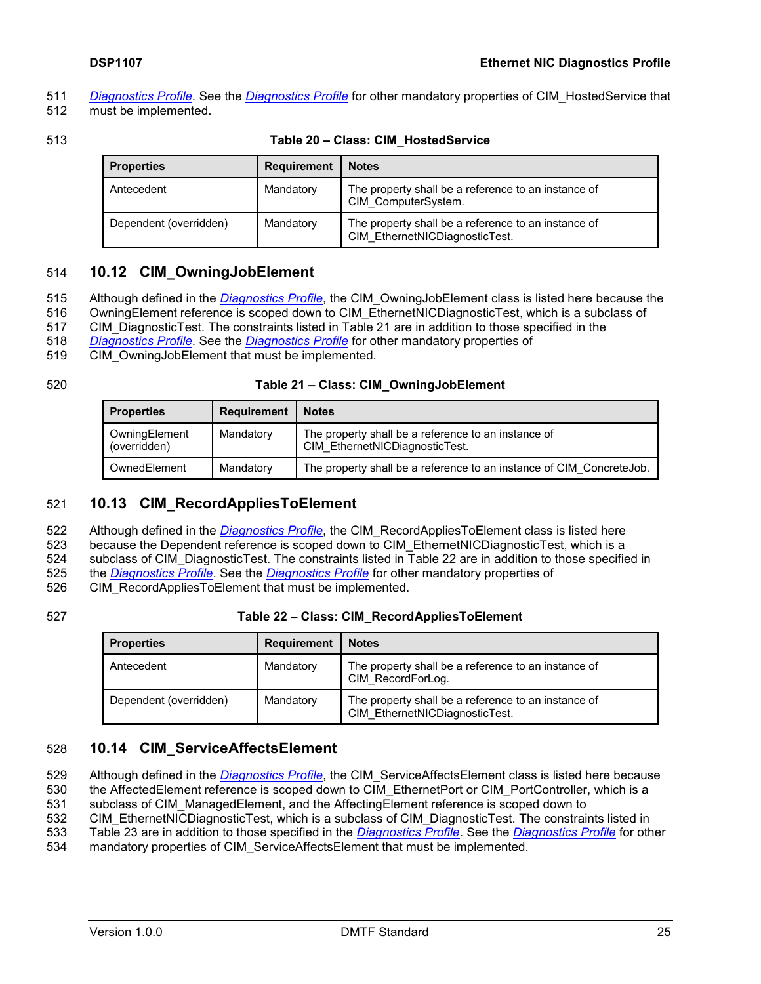- 511 *[Diagnostics Profile](#page-6-10)*. See the *[Diagnostics Profile](#page-6-10)* for other mandatory properties of CIM\_HostedService that
- 512 must be implemented.
- 

| Table 20 - Class: CIM HostedService |
|-------------------------------------|
|                                     |

<span id="page-24-3"></span>

| <b>Properties</b>      | <b>Requirement</b> | <b>Notes</b>                                                                          |
|------------------------|--------------------|---------------------------------------------------------------------------------------|
| Antecedent             | Mandatory          | The property shall be a reference to an instance of<br>CIM ComputerSystem.            |
| Dependent (overridden) | Mandatory          | The property shall be a reference to an instance of<br>CIM EthernetNICDiagnosticTest. |

## <span id="page-24-0"></span>514 **10.12 CIM\_OwningJobElement**

- 515 Although defined in the *[Diagnostics Profile](#page-6-10)*, the CIM\_OwningJobElement class is listed here because the
- 516 OwningElement reference is scoped down to CIM\_EthernetNICDiagnosticTest, which is a subclass of
- 517 CIM DiagnosticTest. The constraints listed in [Table 21](#page-24-4) are in addition to those specified in the
- 518 *[Diagnostics Profile](#page-6-10)*. See the *[Diagnostics Profile](#page-6-10)* for other mandatory properties of
- 519 CIM OwningJobElement that must be implemented.
- 

| 520 | Table 21 - Class: CIM_OwningJobElement |
|-----|----------------------------------------|
|-----|----------------------------------------|

<span id="page-24-4"></span>

| <b>Properties</b>             | <b>Requirement</b> | <b>Notes</b>                                                                          |
|-------------------------------|--------------------|---------------------------------------------------------------------------------------|
| OwningElement<br>(overridden) | Mandatory          | The property shall be a reference to an instance of<br>CIM EthernetNICDiagnosticTest. |
| OwnedElement                  | Mandatory          | The property shall be a reference to an instance of CIM Concrete Job.                 |

# <span id="page-24-1"></span>521 **10.13 CIM\_RecordAppliesToElement**

522 Although defined in the *[Diagnostics Profile](#page-6-10)*, the CIM\_RecordAppliesToElement class is listed here

523 because the Dependent reference is scoped down to CIM\_EthernetNICDiagnosticTest, which is a

524 subclass of CIM DiagnosticTest. The constraints listed in [Table 22](#page-24-5) are in addition to those specified in

525 the *[Diagnostics Profile](#page-6-10)*. See the *[Diagnostics Profile](#page-6-10)* for other mandatory properties of

526 CIM\_RecordAppliesToElement that must be implemented.

#### 527 **Table 22 – Class: CIM\_RecordAppliesToElement**

<span id="page-24-5"></span>

| <b>Properties</b>      | <b>Requirement</b> | <b>Notes</b>                                                                          |
|------------------------|--------------------|---------------------------------------------------------------------------------------|
| Antecedent             | Mandatory          | The property shall be a reference to an instance of<br>CIM RecordForLog.              |
| Dependent (overridden) | Mandatory          | The property shall be a reference to an instance of<br>CIM EthernetNICDiagnosticTest. |

# <span id="page-24-2"></span>528 **10.14 CIM\_ServiceAffectsElement**

- 529 Although defined in the *[Diagnostics Profile](#page-6-10)*, the CIM\_ServiceAffectsElement class is listed here because
- 530 the AffectedElement reference is scoped down to CIM EthernetPort or CIM PortController, which is a
- 531 subclass of CIM\_ManagedElement, and the AffectingElement reference is scoped down to
- 532 CIM\_EthernetNICDiagnosticTest, which is a subclass of CIM\_DiagnosticTest. The constraints listed in
- 533 [Table 23](#page-25-3) are in addition to those specified in the *[Diagnostics Profile](#page-6-10)*. See the *[Diagnostics Profile](#page-6-10)* for other
- 534 mandatory properties of CIM\_ServiceAffectsElement that must be implemented.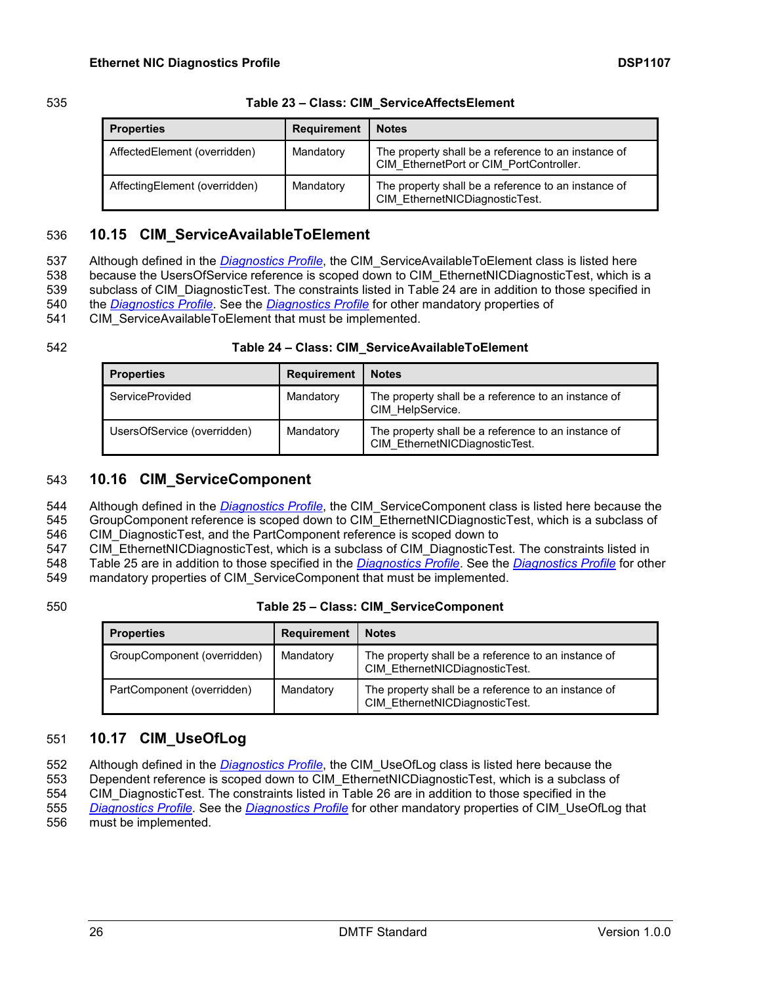| 535 | Table 23 - Class: CIM Service Affects Element |
|-----|-----------------------------------------------|
|     |                                               |

<span id="page-25-3"></span>

| <b>Properties</b>             | <b>Requirement</b> | <b>Notes</b>                                                                                   |
|-------------------------------|--------------------|------------------------------------------------------------------------------------------------|
| AffectedElement (overridden)  | Mandatory          | The property shall be a reference to an instance of<br>CIM EthernetPort or CIM PortController. |
| AffectingElement (overridden) | Mandatory          | The property shall be a reference to an instance of<br>CIM EthernetNICDiagnosticTest.          |

# <span id="page-25-0"></span>536 **10.15 CIM\_ServiceAvailableToElement**

 Although defined in the *[Diagnostics Profile](#page-6-10)*, the CIM\_ServiceAvailableToElement class is listed here 538 because the UsersOfService reference is scoped down to CIM\_EthernetNICDiagnosticTest, which is a subclass of CIM\_DiagnosticTest. The constraints listed in [Table 24](#page-25-4) are in addition to those specified in the *[Diagnostics Profile](#page-6-10)*. See the *[Diagnostics Profile](#page-6-10)* for other mandatory properties of

541 CIM ServiceAvailableToElement that must be implemented.

#### 542 **Table 24 – Class: CIM\_ServiceAvailableToElement**

<span id="page-25-4"></span>

| <b>Properties</b>           | <b>Requirement</b> | <b>Notes</b>                                                                          |
|-----------------------------|--------------------|---------------------------------------------------------------------------------------|
| ServiceProvided             | Mandatory          | The property shall be a reference to an instance of<br>CIM HelpService.               |
| UsersOfService (overridden) | Mandatory          | The property shall be a reference to an instance of<br>CIM EthernetNICDiagnosticTest. |

## <span id="page-25-1"></span>543 **10.16 CIM\_ServiceComponent**

544 Although defined in the *[Diagnostics Profile](#page-6-10)*, the CIM\_ServiceComponent class is listed here because the

545 GroupComponent reference is scoped down to CIM\_EthernetNICDiagnosticTest, which is a subclass of 546 CIM\_DiagnosticTest, and the PartComponent reference is scoped down to

547 CIM\_EthernetNICDiagnosticTest, which is a subclass of CIM\_DiagnosticTest. The constraints listed in

548 [Table 25](#page-25-5) are in addition to those specified in the *[Diagnostics Profile](#page-6-10)*. See the *[Diagnostics Profile](#page-6-10)* for other

549 mandatory properties of CIM\_ServiceComponent that must be implemented.

#### 550 **Table 25 – Class: CIM\_ServiceComponent**

<span id="page-25-5"></span>

| <b>Properties</b>           | <b>Requirement</b> | <b>Notes</b>                                                                          |
|-----------------------------|--------------------|---------------------------------------------------------------------------------------|
| GroupComponent (overridden) | Mandatory          | The property shall be a reference to an instance of<br>CIM EthernetNICDiagnosticTest. |
| PartComponent (overridden)  | Mandatory          | The property shall be a reference to an instance of<br>CIM EthernetNICDiagnosticTest. |

# <span id="page-25-2"></span>551 **10.17 CIM\_UseOfLog**

552 Although defined in the *[Diagnostics Profile](#page-6-10)*, the CIM\_UseOfLog class is listed here because the

553 Dependent reference is scoped down to CIM\_EthernetNICDiagnosticTest, which is a subclass of

554 CIM\_DiagnosticTest. The constraints listed in [Table 26](#page-26-0) are in addition to those specified in the

555 *[Diagnostics Profile](#page-6-10)*. See the *[Diagnostics Profile](#page-6-10)* for other mandatory properties of CIM\_UseOfLog that 556 must be implemented.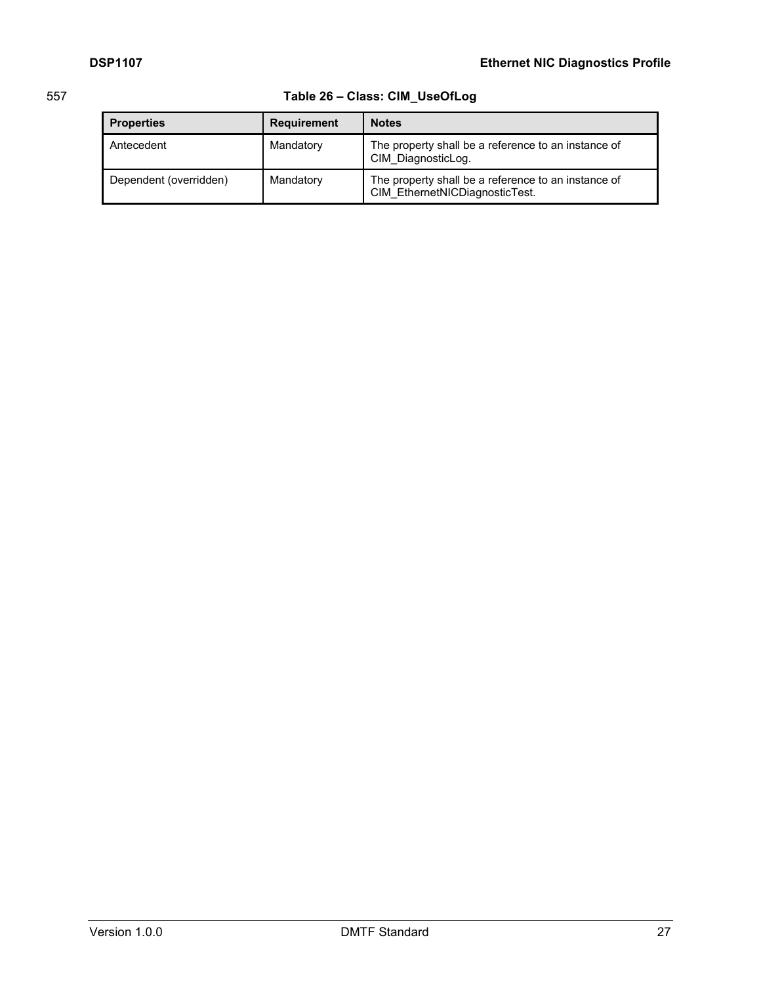# 557 **Table 26 – Class: CIM\_UseOfLog**

<span id="page-26-0"></span>

| <b>Properties</b>      | <b>Requirement</b> | <b>Notes</b>                                                                          |
|------------------------|--------------------|---------------------------------------------------------------------------------------|
| Antecedent             | Mandatory          | The property shall be a reference to an instance of<br>CIM DiagnosticLog.             |
| Dependent (overridden) | Mandatory          | The property shall be a reference to an instance of<br>CIM EthernetNICDiagnosticTest. |